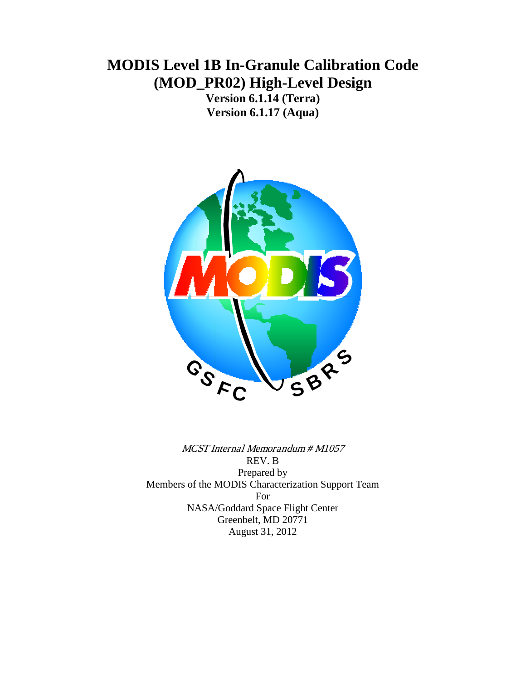# **MODIS Level 1B In-Granule Calibration Code (MOD\_PR02) High-Level Design**

**Version 6.1.14 (Terra) Version 6.1.17 (Aqua)**



MCST Internal Memorandum # M1057 REV. B Prepared by Members of the MODIS Characterization Support Team For NASA/Goddard Space Flight Center Greenbelt, MD 20771 August 31, 2012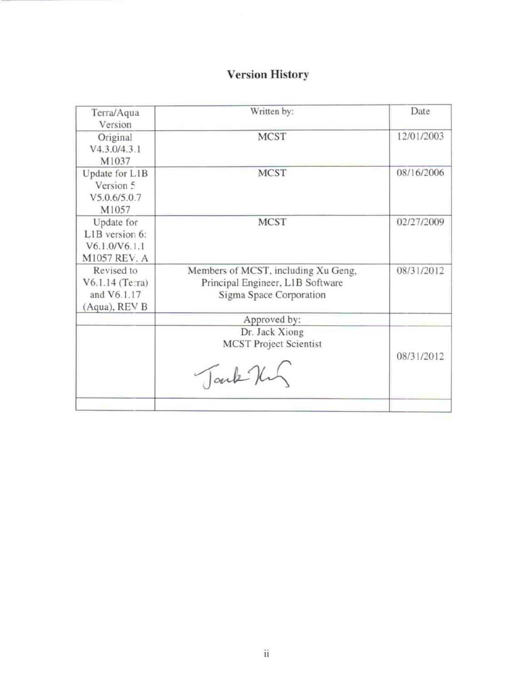# **Version History**

| Terra/Aqua<br>Version                                         | Written by:                                                                                        | Date       |
|---------------------------------------------------------------|----------------------------------------------------------------------------------------------------|------------|
| Original<br>V4.3.0/4.3.1<br>M1037                             | <b>MCST</b>                                                                                        | 12/01/2003 |
| Update for L1B<br>Version 5<br>V5.0.6/5.0.7<br>M1057          | <b>MCST</b>                                                                                        | 08/16/2006 |
| Update for<br>L1B version 6:<br>V6.1.0/V6.1.1<br>M1057 REV. A | <b>MCST</b>                                                                                        | 02/27/2009 |
| Revised to<br>V6.1.14 (Terra)<br>and V6.1.17<br>(Aqua), REV B | Members of MCST, including Xu Geng,<br>Principal Engineer, L1B Software<br>Sigma Space Corporation | 08/31/2012 |
|                                                               | Approved by:                                                                                       |            |
|                                                               | Dr. Jack Xiong<br><b>MCST Project Scientist</b><br>Tark Hun                                        | 08/31/2012 |
|                                                               |                                                                                                    |            |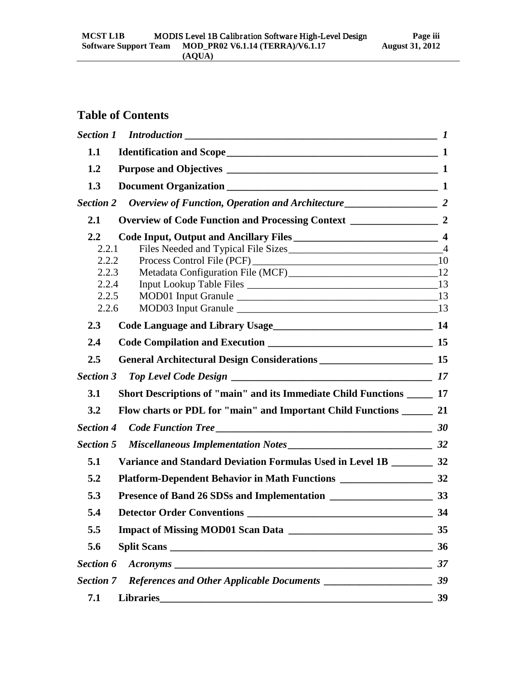# **Table of Contents**

| 1.1              |                                                                          |    |
|------------------|--------------------------------------------------------------------------|----|
| 1.2              |                                                                          |    |
| 1.3              |                                                                          |    |
| <b>Section 2</b> |                                                                          |    |
| 2.1              |                                                                          |    |
| $2.2^{\circ}$    |                                                                          |    |
| 2.2.1            |                                                                          |    |
| 2.2.2<br>2.2.3   |                                                                          |    |
| 2.2.4            |                                                                          |    |
| 2.2.5            |                                                                          |    |
| 2.2.6            | MOD03 Input Granule 13                                                   |    |
| 2.3              | Code Language and Library Usage<br><u>Language and Library Usage</u>     |    |
| 2.4              |                                                                          |    |
| 2.5              |                                                                          |    |
| <b>Section 3</b> |                                                                          |    |
| 3.1              | Short Descriptions of "main" and its Immediate Child Functions ______ 17 |    |
| 3.2              | Flow charts or PDL for "main" and Important Child Functions ________ 21  |    |
| <b>Section 4</b> | $Code Function Tree$ $200$                                               |    |
| <b>Section 5</b> |                                                                          |    |
| 5.1              | Variance and Standard Deviation Formulas Used in Level 1B ________ 32    |    |
| 5.2              |                                                                          |    |
| 5.3              |                                                                          |    |
| 5.4              | <b>Detector Order Conventions</b>                                        | 34 |
| 5.5              |                                                                          | 35 |
| 5.6              |                                                                          | 36 |
| Section 6        | A <b>cronyms</b>                                                         | 37 |
| <b>Section 7</b> |                                                                          | 39 |
| 7.1              |                                                                          | 39 |
|                  |                                                                          |    |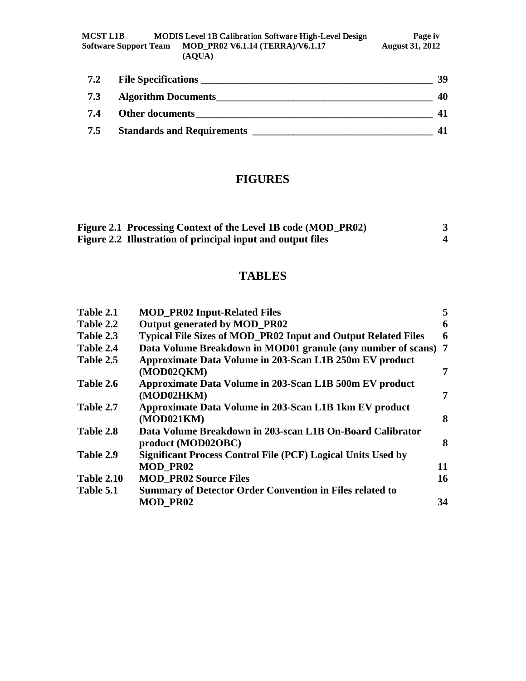| 7.2 | <b>File Specifications</b>        | 39 |
|-----|-----------------------------------|----|
| 7.3 | <b>Algorithm Documents</b>        | 40 |
| 7.4 | <b>Other documents</b>            |    |
| 7.5 | <b>Standards and Requirements</b> |    |

# **FIGURES**

| Figure 2.1 Processing Context of the Level 1B code (MOD_PR02) |  |
|---------------------------------------------------------------|--|
| Figure 2.2 Illustration of principal input and output files   |  |

# **TABLES**

| Table 2.1         | <b>MOD_PR02 Input-Related Files</b>                                  | 5  |
|-------------------|----------------------------------------------------------------------|----|
| Table 2.2         | Output generated by MOD_PR02                                         | 6  |
| Table 2.3         | <b>Typical File Sizes of MOD_PR02 Input and Output Related Files</b> | 6  |
| Table 2.4         | Data Volume Breakdown in MOD01 granule (any number of scans) 7       |    |
| Table 2.5         | Approximate Data Volume in 203-Scan L1B 250m EV product              |    |
|                   | (MOD02QKM)                                                           | 7  |
| Table 2.6         | Approximate Data Volume in 203-Scan L1B 500m EV product              |    |
|                   | (MOD02HKM)                                                           | 7  |
| Table 2.7         | Approximate Data Volume in 203-Scan L1B 1km EV product               |    |
|                   | (MOD021KM)                                                           | 8  |
| Table 2.8         | Data Volume Breakdown in 203-scan L1B On-Board Calibrator            |    |
|                   | product (MOD02OBC)                                                   | 8  |
| Table 2.9         | <b>Significant Process Control File (PCF) Logical Units Used by</b>  |    |
|                   | <b>MOD PR02</b>                                                      | 11 |
| <b>Table 2.10</b> | <b>MOD PR02 Source Files</b>                                         | 16 |
| Table 5.1         | <b>Summary of Detector Order Convention in Files related to</b>      |    |
|                   | <b>MOD_PR02</b>                                                      | 34 |
|                   |                                                                      |    |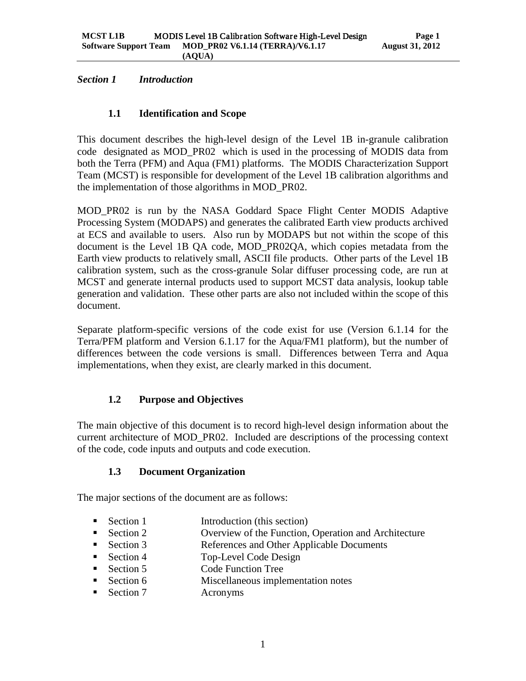<span id="page-4-1"></span><span id="page-4-0"></span>*Section 1 Introduction*

# **1.1 Identification and Scope**

This document describes the high-level design of the Level 1B in-granule calibration code designated as MOD\_PR02 which is used in the processing of MODIS data from both the Terra (PFM) and Aqua (FM1) platforms. The MODIS Characterization Support Team (MCST) is responsible for development of the Level 1B calibration algorithms and the implementation of those algorithms in MOD\_PR02.

MOD\_PR02 is run by the NASA Goddard Space Flight Center MODIS Adaptive Processing System (MODAPS) and generates the calibrated Earth view products archived at ECS and available to users. Also run by MODAPS but not within the scope of this document is the Level 1B QA code, MOD\_PR02QA, which copies metadata from the Earth view products to relatively small, ASCII file products. Other parts of the Level 1B calibration system, such as the cross-granule Solar diffuser processing code, are run at MCST and generate internal products used to support MCST data analysis, lookup table generation and validation. These other parts are also not included within the scope of this document.

Separate platform-specific versions of the code exist for use (Version 6.1.14 for the Terra/PFM platform and Version 6.1.17 for the Aqua/FM1 platform), but the number of differences between the code versions is small. Differences between Terra and Aqua implementations, when they exist, are clearly marked in this document.

# <span id="page-4-2"></span>**1.2 Purpose and Objectives**

<span id="page-4-3"></span>The main objective of this document is to record high-level design information about the current architecture of MOD\_PR02. Included are descriptions of the processing context of the code, code inputs and outputs and code execution.

# **1.3 Document Organization**

The major sections of the document are as follows:

- Section 1 Introduction (this section)
- **Section 2** Overview of the Function, Operation and Architecture
- Section 3 References and Other Applicable Documents
- Section 4 Top-Level Code Design
- Section 5 Code Function Tree
- Section 6 Miscellaneous implementation notes
- Section 7 Acronyms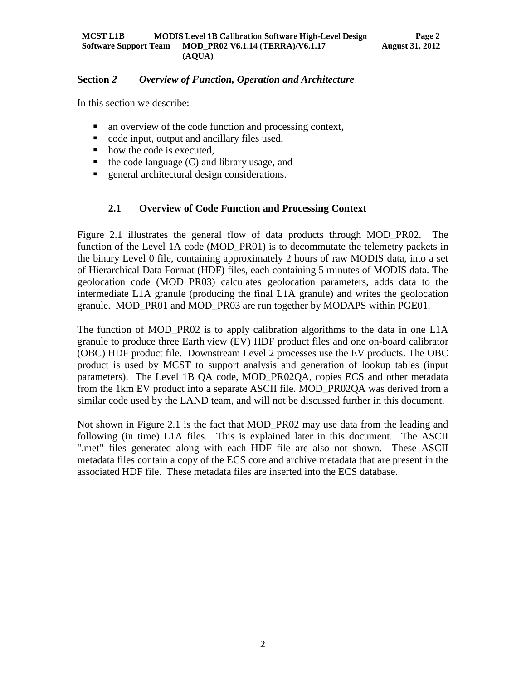### <span id="page-5-0"></span>**Section** *2 Overview of Function, Operation and Architecture*

In this section we describe:

- an overview of the code function and processing context,
- code input, output and ancillary files used,
- how the code is executed,
- $\blacksquare$  the code language (C) and library usage, and
- <span id="page-5-1"></span>**EXECUTE:** general architectural design considerations.

# **2.1 Overview of Code Function and Processing Context**

Figure 2.1 illustrates the general flow of data products through MOD\_PR02. The function of the Level 1A code (MOD PR01) is to decommutate the telemetry packets in the binary Level 0 file, containing approximately 2 hours of raw MODIS data, into a set of Hierarchical Data Format (HDF) files, each containing 5 minutes of MODIS data. The geolocation code (MOD\_PR03) calculates geolocation parameters, adds data to the intermediate L1A granule (producing the final L1A granule) and writes the geolocation granule. MOD\_PR01 and MOD\_PR03 are run together by MODAPS within PGE01.

The function of MOD\_PR02 is to apply calibration algorithms to the data in one L1A granule to produce three Earth view (EV) HDF product files and one on-board calibrator (OBC) HDF product file. Downstream Level 2 processes use the EV products. The OBC product is used by MCST to support analysis and generation of lookup tables (input parameters). The Level 1B QA code, MOD\_PR02QA, copies ECS and other metadata from the 1km EV product into a separate ASCII file. MOD\_PR02QA was derived from a similar code used by the LAND team, and will not be discussed further in this document.

Not shown in Figure 2.1 is the fact that MOD\_PR02 may use data from the leading and following (in time) L1A files. This is explained later in this document. The ASCII ".met" files generated along with each HDF file are also not shown. These ASCII metadata files contain a copy of the ECS core and archive metadata that are present in the associated HDF file. These metadata files are inserted into the ECS database.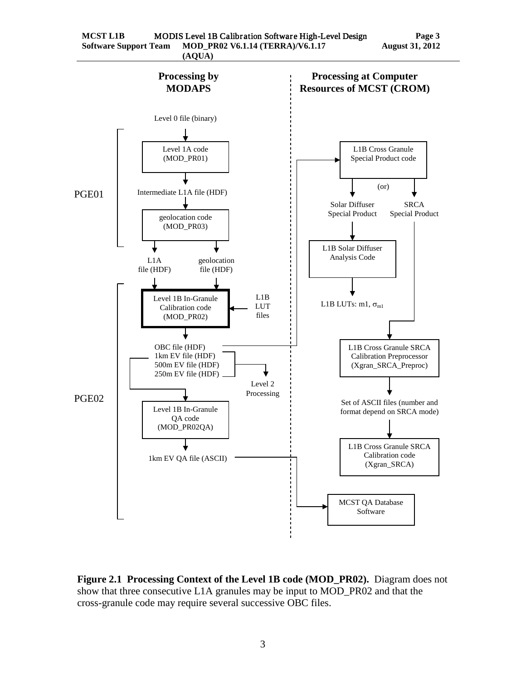

<span id="page-6-0"></span>**Figure 2.1 Processing Context of the Level 1B code (MOD\_PR02).** Diagram does not show that three consecutive L1A granules may be input to MOD\_PR02 and that the cross-granule code may require several successive OBC files.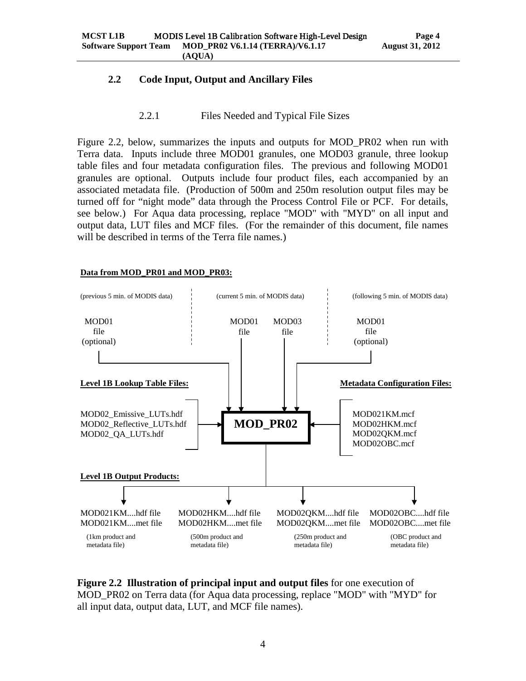### <span id="page-7-0"></span>**2.2 Code Input, Output and Ancillary Files**

#### 2.2.1 Files Needed and Typical File Sizes

<span id="page-7-1"></span>Figure 2.2, below, summarizes the inputs and outputs for MOD\_PR02 when run with Terra data. Inputs include three MOD01 granules, one MOD03 granule, three lookup table files and four metadata configuration files. The previous and following MOD01 granules are optional. Outputs include four product files, each accompanied by an associated metadata file. (Production of 500m and 250m resolution output files may be turned off for "night mode" data through the Process Control File or PCF. For details, see below.) For Aqua data processing, replace "MOD" with "MYD" on all input and output data, LUT files and MCF files. (For the remainder of this document, file names will be described in terms of the Terra file names.)

#### **Data from MOD\_PR01 and MOD\_PR03:**



<span id="page-7-2"></span>**Figure 2.2 Illustration of principal input and output files** for one execution of MOD\_PR02 on Terra data (for Aqua data processing, replace "MOD" with "MYD" for all input data, output data, LUT, and MCF file names).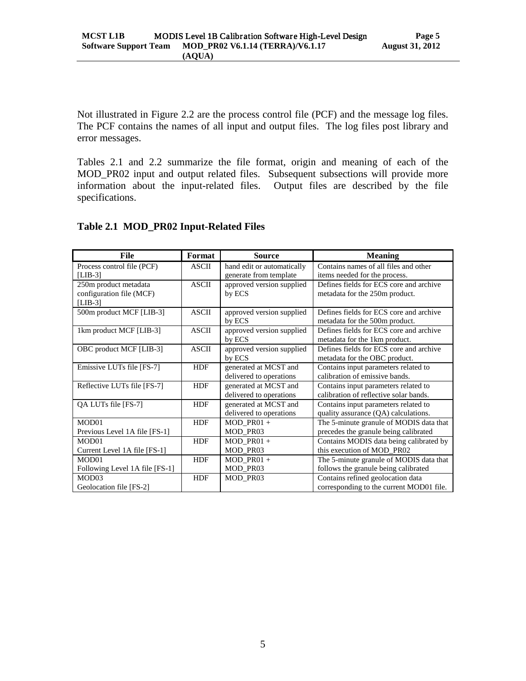Not illustrated in Figure 2.2 are the process control file (PCF) and the message log files. The PCF contains the names of all input and output files. The log files post library and error messages.

Tables 2.1 and 2.2 summarize the file format, origin and meaning of each of the MOD\_PR02 input and output related files. Subsequent subsections will provide more information about the input-related files. Output files are described by the file specifications.

| File                           | Format       | <b>Source</b>              | <b>Meaning</b>                           |
|--------------------------------|--------------|----------------------------|------------------------------------------|
| Process control file (PCF)     | <b>ASCII</b> | hand edit or automatically | Contains names of all files and other    |
| $[LIB-3]$                      |              | generate from template     | items needed for the process.            |
| 250m product metadata          | <b>ASCII</b> | approved version supplied  | Defines fields for ECS core and archive  |
| configuration file (MCF)       |              | by ECS                     | metadata for the 250m product.           |
| $[LIB-3]$                      |              |                            |                                          |
| 500m product MCF [LIB-3]       | <b>ASCII</b> | approved version supplied  | Defines fields for ECS core and archive  |
|                                |              | by ECS                     | metadata for the 500m product.           |
| 1km product MCF [LIB-3]        | <b>ASCII</b> | approved version supplied  | Defines fields for ECS core and archive  |
|                                |              | by ECS                     | metadata for the 1km product.            |
| OBC product MCF [LIB-3]        | <b>ASCII</b> | approved version supplied  | Defines fields for ECS core and archive  |
|                                |              | by ECS                     | metadata for the OBC product.            |
| Emissive LUTs file [FS-7]      | <b>HDF</b>   | generated at MCST and      | Contains input parameters related to     |
|                                |              | delivered to operations    | calibration of emissive bands.           |
| Reflective LUTs file [FS-7]    | <b>HDF</b>   | generated at MCST and      | Contains input parameters related to     |
|                                |              | delivered to operations    | calibration of reflective solar bands.   |
| QA LUTs file [FS-7]            | <b>HDF</b>   | generated at MCST and      | Contains input parameters related to     |
|                                |              | delivered to operations    | quality assurance (QA) calculations.     |
| MOD01                          | <b>HDF</b>   | $MOD$ PR01 +               | The 5-minute granule of MODIS data that  |
| Previous Level 1A file [FS-1]  |              | MOD_PR03                   | precedes the granule being calibrated    |
| MOD <sub>01</sub>              | <b>HDF</b>   | $MOD$ PR01 +               | Contains MODIS data being calibrated by  |
| Current Level 1A file [FS-1]   |              | MOD_PR03                   | this execution of MOD_PR02               |
| MOD <sub>01</sub>              | <b>HDF</b>   | $MOD$ PR01 +               | The 5-minute granule of MODIS data that  |
| Following Level 1A file [FS-1] |              | MOD_PR03                   | follows the granule being calibrated     |
| MOD <sub>03</sub>              | <b>HDF</b>   | MOD_PR03                   | Contains refined geolocation data        |
| Geolocation file [FS-2]        |              |                            | corresponding to the current MOD01 file. |

## <span id="page-8-0"></span>**Table 2.1 MOD\_PR02 Input-Related Files**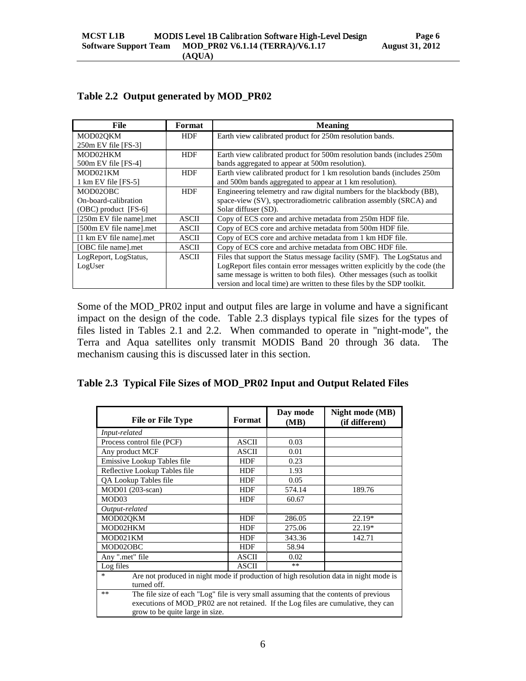| File                    | Format       | <b>Meaning</b>                                                             |
|-------------------------|--------------|----------------------------------------------------------------------------|
| MOD02OKM                | <b>HDF</b>   | Earth view calibrated product for 250m resolution bands.                   |
| $250m$ EV file [FS-3]   |              |                                                                            |
| MOD02HKM                | <b>HDF</b>   | Earth view calibrated product for 500m resolution bands (includes 250m     |
| $500m$ EV file [FS-4]   |              | bands aggregated to appear at 500m resolution).                            |
| MOD021KM                | <b>HDF</b>   | Earth view calibrated product for 1 km resolution bands (includes 250m)    |
| 1 km EV file [FS-5]     |              | and 500m bands aggregated to appear at 1 km resolution).                   |
| MOD02OBC                | <b>HDF</b>   | Engineering telemetry and raw digital numbers for the blackbody (BB),      |
| On-board-calibration    |              | space-view (SV), spectroradiometric calibration assembly (SRCA) and        |
| $(OBC)$ product [FS-6]  |              | Solar diffuser (SD).                                                       |
| [250m EV file name].met | <b>ASCII</b> | Copy of ECS core and archive metadata from 250m HDF file.                  |
| [500m EV file name].met | <b>ASCII</b> | Copy of ECS core and archive metadata from 500m HDF file.                  |
| [1 km EV file name].met | <b>ASCII</b> | Copy of ECS core and archive metadata from 1 km HDF file.                  |
| [OBC file name].met     | <b>ASCII</b> | Copy of ECS core and archive metadata from OBC HDF file.                   |
| LogReport, LogStatus,   | <b>ASCII</b> | Files that support the Status message facility (SMF). The LogStatus and    |
| LogUser                 |              | LogReport files contain error messages written explicitly by the code (the |
|                         |              | same message is written to both files). Other messages (such as toolkit    |
|                         |              | version and local time) are written to these files by the SDP toolkit.     |

# <span id="page-9-0"></span>**Table 2.2 Output generated by MOD\_PR02**

Some of the MOD\_PR02 input and output files are large in volume and have a significant impact on the design of the code. Table 2.3 displays typical file sizes for the types of files listed in Tables 2.1 and 2.2. When commanded to operate in "night-mode", the Terra and Aqua satellites only transmit MODIS Band 20 through 36 data. The mechanism causing this is discussed later in this section.

<span id="page-9-1"></span>

|  |  | Table 2.3 Typical File Sizes of MOD_PR02 Input and Output Related Files |
|--|--|-------------------------------------------------------------------------|
|  |  |                                                                         |

| <b>File or File Type</b>                                                                                                                                                                                               | Format       | Day mode<br>(MB) | Night mode (MB)<br>(if different) |  |  |  |  |
|------------------------------------------------------------------------------------------------------------------------------------------------------------------------------------------------------------------------|--------------|------------------|-----------------------------------|--|--|--|--|
| Input-related                                                                                                                                                                                                          |              |                  |                                   |  |  |  |  |
| Process control file (PCF)                                                                                                                                                                                             | <b>ASCII</b> | 0.03             |                                   |  |  |  |  |
| Any product MCF                                                                                                                                                                                                        | <b>ASCII</b> | 0.01             |                                   |  |  |  |  |
| Emissive Lookup Tables file                                                                                                                                                                                            | <b>HDF</b>   | 0.23             |                                   |  |  |  |  |
| Reflective Lookup Tables file                                                                                                                                                                                          | <b>HDF</b>   | 1.93             |                                   |  |  |  |  |
| QA Lookup Tables file                                                                                                                                                                                                  | <b>HDF</b>   | 0.05             |                                   |  |  |  |  |
| MOD01 (203-scan)                                                                                                                                                                                                       | <b>HDF</b>   | 574.14           | 189.76                            |  |  |  |  |
| MOD <sub>03</sub>                                                                                                                                                                                                      | <b>HDF</b>   | 60.67            |                                   |  |  |  |  |
| Output-related                                                                                                                                                                                                         |              |                  |                                   |  |  |  |  |
| MOD02QKM                                                                                                                                                                                                               | <b>HDF</b>   | 286.05           | 22.19*                            |  |  |  |  |
| MOD02HKM                                                                                                                                                                                                               | <b>HDF</b>   | 275.06           | $22.19*$                          |  |  |  |  |
| MOD021KM                                                                                                                                                                                                               | <b>HDF</b>   | 343.36           | 142.71                            |  |  |  |  |
| MOD02OBC                                                                                                                                                                                                               | <b>HDF</b>   | 58.94            |                                   |  |  |  |  |
| Any ".met" file                                                                                                                                                                                                        | <b>ASCII</b> | 0.02             |                                   |  |  |  |  |
| Log files                                                                                                                                                                                                              | <b>ASCII</b> | $***$            |                                   |  |  |  |  |
| Are not produced in night mode if production of high resolution data in night mode is<br>$\ast$<br>turned off.                                                                                                         |              |                  |                                   |  |  |  |  |
| The file size of each "Log" file is very small assuming that the contents of previous<br>$**$<br>executions of MOD_PR02 are not retained. If the Log files are cumulative, they can<br>grow to be quite large in size. |              |                  |                                   |  |  |  |  |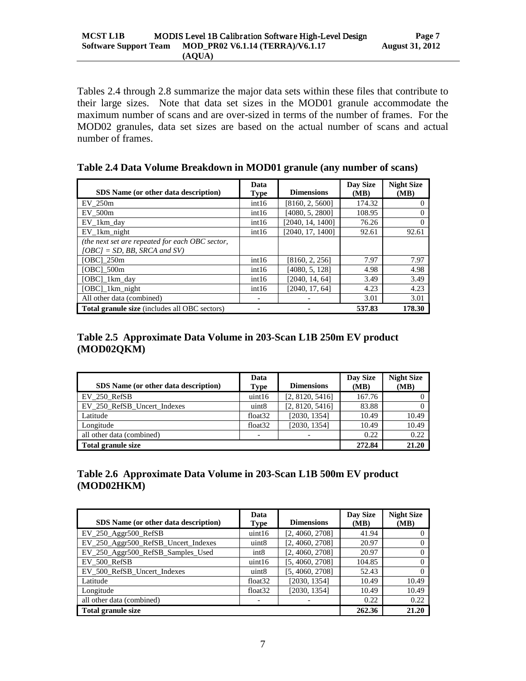Tables 2.4 through 2.8 summarize the major data sets within these files that contribute to their large sizes. Note that data set sizes in the MOD01 granule accommodate the maximum number of scans and are over-sized in terms of the number of frames. For the MOD02 granules, data set sizes are based on the actual number of scans and actual number of frames.

<span id="page-10-0"></span>

| Table 2.4 Data Volume Breakdown in MOD01 granule (any number of scans) |  |  |  |  |
|------------------------------------------------------------------------|--|--|--|--|
|                                                                        |  |  |  |  |

| SDS Name (or other data description)                                               | Data<br><b>Type</b> | <b>Dimensions</b> | Day Size<br>(MB) | <b>Night Size</b><br>(MB) |
|------------------------------------------------------------------------------------|---------------------|-------------------|------------------|---------------------------|
| EV 250m                                                                            | int16               | [8160, 2, 5600]   | 174.32           | $\theta$                  |
| EV 500m                                                                            | int16               | [4080, 5, 2800]   | 108.95           |                           |
| EV_1km_day                                                                         | int16               | [2040, 14, 1400]  | 76.26            | 0                         |
| EV 1km night                                                                       | int16               | [2040, 17, 1400]  | 92.61            | 92.61                     |
| (the next set are repeated for each OBC sector,<br>$[OBC] = SD$ , BB, SRCA and SV) |                     |                   |                  |                           |
| [OBC] 250m                                                                         | int16               | [8160, 2, 256]    | 7.97             | 7.97                      |
| [OBC] 500m                                                                         | int16               | [4080, 5, 128]    | 4.98             | 4.98                      |
| [OBC] 1km day                                                                      | int16               | [2040, 14, 64]    | 3.49             | 3.49                      |
| [OBC] 1km night                                                                    | int16               | [2040, 17, 64]    | 4.23             | 4.23                      |
| All other data (combined)                                                          |                     |                   | 3.01             | 3.01                      |
| Total granule size (includes all OBC sectors)                                      |                     |                   | 537.83           | 178.30                    |

# <span id="page-10-1"></span>**Table 2.5 Approximate Data Volume in 203-Scan L1B 250m EV product (MOD02QKM)**

| SDS Name (or other data description) | Data<br><b>Type</b>      | <b>Dimensions</b> | Day Size<br>(MB) | <b>Night Size</b><br>(MB) |
|--------------------------------------|--------------------------|-------------------|------------------|---------------------------|
| EV 250 RefSB                         | uint16                   | [2, 8120, 5416]   | 167.76           |                           |
| EV 250 RefSB Uncert Indexes          | uint <sub>8</sub>        | [2, 8120, 5416]   | 83.88            |                           |
| Latitude                             | float <sub>32</sub>      | [2030, 1354]      | 10.49            | 10.49                     |
| Longitude                            | float <sub>32</sub>      | [2030, 1354]      | 10.49            | 10.49                     |
| all other data (combined)            | $\overline{\phantom{0}}$ |                   | 0.22             | 0.22                      |
| Total granule size                   | 272.84                   | 21.20             |                  |                           |

# <span id="page-10-2"></span>**Table 2.6 Approximate Data Volume in 203-Scan L1B 500m EV product (MOD02HKM)**

| SDS Name (or other data description) | Data<br>Type             | <b>Dimensions</b> | Day Size<br>(MB) | <b>Night Size</b><br>(MB) |
|--------------------------------------|--------------------------|-------------------|------------------|---------------------------|
| $EV_250$ Aggr500 RefSB               | uint16                   | [2, 4060, 2708]   | 41.94            |                           |
| EV_250_Aggr500_RefSB_Uncert_Indexes  | uint <sub>8</sub>        | [2, 4060, 2708]   | 20.97            | 0                         |
| EV_250_Aggr500_RefSB_Samples_Used    | int <sub>8</sub>         | [2, 4060, 2708]   | 20.97            |                           |
| EV 500 RefSB                         | uint16                   | [5, 4060, 2708]   | 104.85           |                           |
| EV_500_RefSB_Uncert_Indexes          | uint <sub>8</sub>        | [5, 4060, 2708]   | 52.43            |                           |
| Latitude                             | float <sub>32</sub>      | [2030, 1354]      | 10.49            | 10.49                     |
| Longitude                            | float <sub>32</sub>      | [2030, 1354]      | 10.49            | 10.49                     |
| all other data (combined)            | $\overline{\phantom{a}}$ |                   | 0.22             | 0.22                      |
| Total granule size                   | 262.36                   | 21.20             |                  |                           |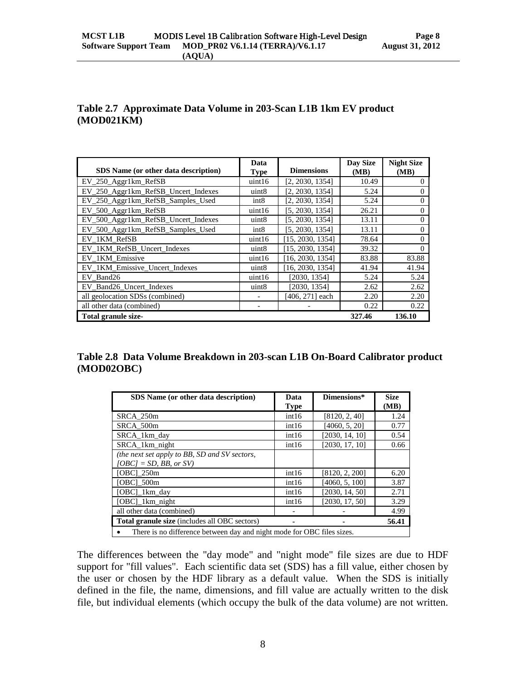# <span id="page-11-0"></span>**Table 2.7 Approximate Data Volume in 203-Scan L1B 1km EV product (MOD021KM)**

| SDS Name (or other data description) | Data<br><b>Type</b>      | <b>Dimensions</b> | Day Size<br>(MB) | <b>Night Size</b><br>(MB) |
|--------------------------------------|--------------------------|-------------------|------------------|---------------------------|
| EV_250_Aggr1km_RefSB                 | uint16                   | [2, 2030, 1354]   | 10.49            | 0                         |
| EV_250_Aggr1km_RefSB_Uncert_Indexes  | uint8                    | [2, 2030, 1354]   | 5.24             | $\Omega$                  |
| EV_250_Aggr1km_RefSB_Samples_Used    | int <sub>8</sub>         | [2, 2030, 1354]   | 5.24             | $\Omega$                  |
| EV_500_Aggr1km_RefSB                 | uint16                   | [5, 2030, 1354]   | 26.21            | $\Omega$                  |
| EV_500_Aggr1km_RefSB_Uncert_Indexes  | uint <sub>8</sub>        | [5, 2030, 1354]   | 13.11            | $\Omega$                  |
| EV_500_Aggr1km_RefSB_Samples_Used    | int <sub>8</sub>         | [5, 2030, 1354]   | 13.11            | $\Omega$                  |
| EV_1KM_RefSB                         | uint16                   | [15, 2030, 1354]  | 78.64            | $\Omega$                  |
| EV_1KM_RefSB_Uncert_Indexes          | uint <sub>8</sub>        | [15, 2030, 1354]  | 39.32            | $\Omega$                  |
| EV_1KM_Emissive                      | uint16                   | [16, 2030, 1354]  | 83.88            | 83.88                     |
| EV 1KM Emissive Uncert Indexes       | uint8                    | [16, 2030, 1354]  | 41.94            | 41.94                     |
| EV Band26                            | uint16                   | [2030, 1354]      | 5.24             | 5.24                      |
| EV Band26 Uncert Indexes             | uint <sub>8</sub>        | [2030, 1354]      | 2.62             | 2.62                      |
| all geolocation SDSs (combined)      |                          | [406, 271] each   | 2.20             | 2.20                      |
| all other data (combined)            | $\overline{\phantom{a}}$ |                   | 0.22             | 0.22                      |
| Total granule size-                  |                          |                   | 327.46           | 136.10                    |

<span id="page-11-1"></span>**Table 2.8 Data Volume Breakdown in 203-scan L1B On-Board Calibrator product (MOD02OBC)**

| SDS Name (or other data description)                                       | Data<br><b>Type</b> | Dimensions*    | <b>Size</b><br>(MB) |  |  |
|----------------------------------------------------------------------------|---------------------|----------------|---------------------|--|--|
| SRCA 250m                                                                  | int16               | [8120, 2, 40]  | 1.24                |  |  |
| SRCA 500m                                                                  | int16               | [4060, 5, 20]  | 0.77                |  |  |
| SRCA 1km day                                                               | int16               | [2030, 14, 10] | 0.54                |  |  |
| SRCA 1km night                                                             | int16               | [2030, 17, 10] | 0.66                |  |  |
| (the next set apply to BB, SD and SV sectors,<br>$[OBC] = SD$ , BB, or SV) |                     |                |                     |  |  |
| [OBC] 250m                                                                 | int16               | [8120, 2, 200] | 6.20                |  |  |
| [OBC] 500m                                                                 | int16               | [4060, 5, 100] | 3.87                |  |  |
| [OBC]_1km_day                                                              | int16               | [2030, 14, 50] | 2.71                |  |  |
| [OBC] 1km night                                                            | int16               | [2030, 17, 50] | 3.29                |  |  |
| all other data (combined)                                                  |                     |                | 4.99                |  |  |
| Total granule size (includes all OBC sectors)<br>56.41                     |                     |                |                     |  |  |
| There is no difference between day and night mode for OBC files sizes.     |                     |                |                     |  |  |

The differences between the "day mode" and "night mode" file sizes are due to HDF support for "fill values". Each scientific data set (SDS) has a fill value, either chosen by the user or chosen by the HDF library as a default value. When the SDS is initially defined in the file, the name, dimensions, and fill value are actually written to the disk file, but individual elements (which occupy the bulk of the data volume) are not written.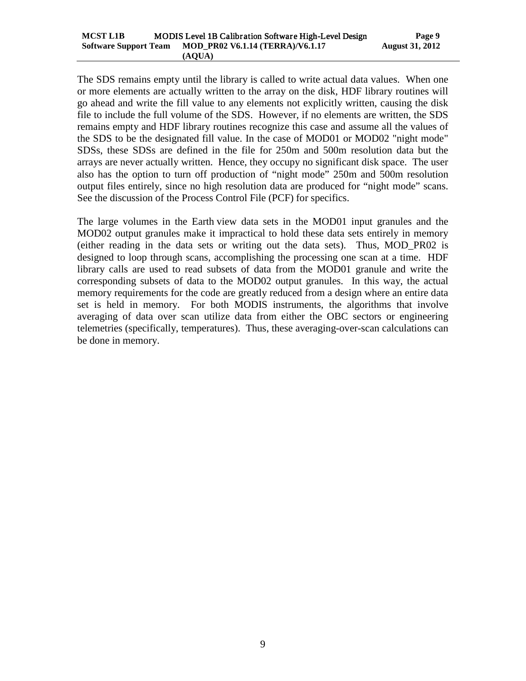The SDS remains empty until the library is called to write actual data values. When one or more elements are actually written to the array on the disk, HDF library routines will go ahead and write the fill value to any elements not explicitly written, causing the disk file to include the full volume of the SDS. However, if no elements are written, the SDS remains empty and HDF library routines recognize this case and assume all the values of the SDS to be the designated fill value. In the case of MOD01 or MOD02 "night mode" SDSs, these SDSs are defined in the file for 250m and 500m resolution data but the arrays are never actually written. Hence, they occupy no significant disk space. The user also has the option to turn off production of "night mode" 250m and 500m resolution output files entirely, since no high resolution data are produced for "night mode" scans. See the discussion of the Process Control File (PCF) for specifics.

The large volumes in the Earth view data sets in the MOD01 input granules and the MOD02 output granules make it impractical to hold these data sets entirely in memory (either reading in the data sets or writing out the data sets). Thus, MOD\_PR02 is designed to loop through scans, accomplishing the processing one scan at a time. HDF library calls are used to read subsets of data from the MOD01 granule and write the corresponding subsets of data to the MOD02 output granules. In this way, the actual memory requirements for the code are greatly reduced from a design where an entire data set is held in memory. For both MODIS instruments, the algorithms that involve averaging of data over scan utilize data from either the OBC sectors or engineering telemetries (specifically, temperatures). Thus, these averaging-over-scan calculations can be done in memory.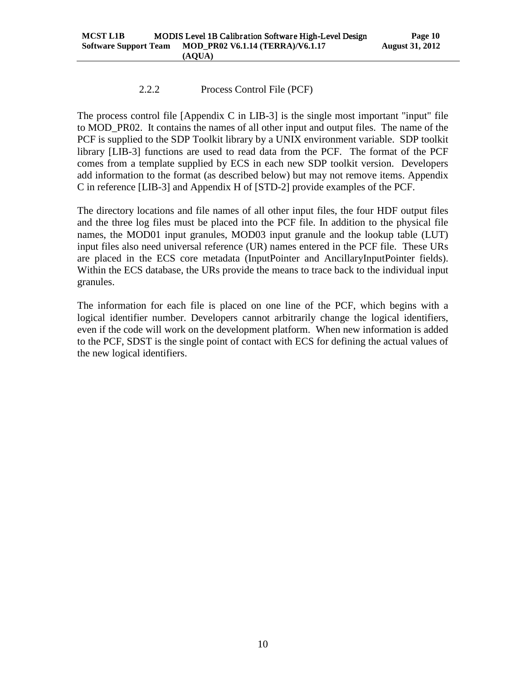# 2.2.2 Process Control File (PCF)

<span id="page-13-0"></span>The process control file [Appendix C in LIB-3] is the single most important "input" file to MOD\_PR02. It contains the names of all other input and output files. The name of the PCF is supplied to the SDP Toolkit library by a UNIX environment variable. SDP toolkit library [LIB-3] functions are used to read data from the PCF. The format of the PCF comes from a template supplied by ECS in each new SDP toolkit version. Developers add information to the format (as described below) but may not remove items. Appendix C in reference [LIB-3] and Appendix H of [STD-2] provide examples of the PCF.

The directory locations and file names of all other input files, the four HDF output files and the three log files must be placed into the PCF file. In addition to the physical file names, the MOD01 input granules, MOD03 input granule and the lookup table (LUT) input files also need universal reference (UR) names entered in the PCF file. These URs are placed in the ECS core metadata (InputPointer and AncillaryInputPointer fields). Within the ECS database, the URs provide the means to trace back to the individual input granules.

The information for each file is placed on one line of the PCF, which begins with a logical identifier number. Developers cannot arbitrarily change the logical identifiers, even if the code will work on the development platform. When new information is added to the PCF, SDST is the single point of contact with ECS for defining the actual values of the new logical identifiers.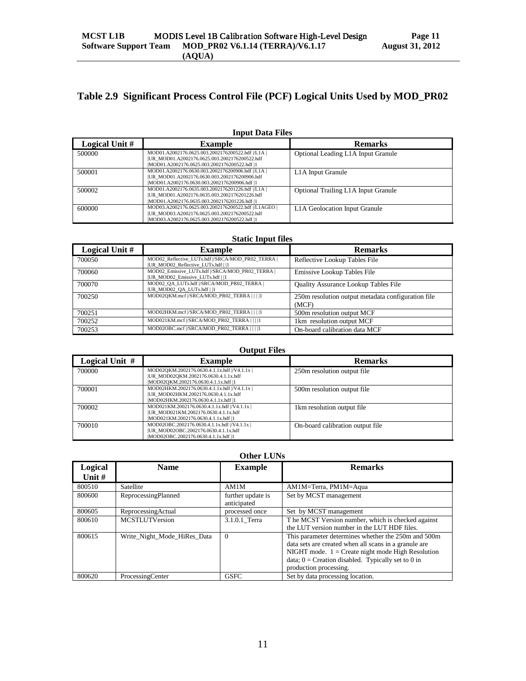# <span id="page-14-0"></span>**Table 2.9 Significant Process Control File (PCF) Logical Units Used by MOD\_PR02**

| Logical Unit # | <b>Example</b>                                                                                                                                         | <b>Remarks</b>                      |
|----------------|--------------------------------------------------------------------------------------------------------------------------------------------------------|-------------------------------------|
| 500000         | MOD01.A2002176.0625.003.2002176200522.hdf  /L1A  <br> UR_MOD01.A2002176.0625.003.2002176200522.hdf<br> MOD01.A2002176.0625.003.2002176200522.hdf  1    | Optional Leading L1A Input Granule  |
| 500001         | MOD01.A2002176.0630.003.2002176200906.hdf  /L1A  <br>IUR MOD01.A2002176.0630.003.2002176200906.hdf<br>IMOD01.A2002176.0630.003.2002176200906.hdf  1    | L <sub>1</sub> A Input Granule      |
| 500002         | MOD01.A2002176.0635.003.2002176201226.hdf  /L1A  <br> UR_MOD01.A2002176.0635.003.2002176201226.hdf<br> MOD01.A2002176.0635.003.2002176201226.hdf  1    | Optional Trailing L1A Input Granule |
| 600000         | MOD03.A2002176.0625.003.2002176200522.hdf  /L1AGEO  <br> UR_MOD03.A2002176.0625.003.2002176200522.hdf<br> MOD03.A2002176.0625.003.2002176200522.hdf  1 | L1A Geolocation Input Granule       |

#### **Input Data Files**

#### **Static Input files**

| Logical Unit # | <b>Example</b>                                                                          | <b>Remarks</b>                                              |
|----------------|-----------------------------------------------------------------------------------------|-------------------------------------------------------------|
| 700050         | MOD02 Reflective LUTs.hdf //SRCA/MOD PR02 TERRA  <br> UR MOD02 Reflective LUTs.hdf    1 | Reflective Lookup Tables File                               |
| 700060         | MOD02 Emissive LUTs.hdf  /SRCA/MOD PR02 TERRA  <br> UR MOD02 Emissive LUTs.hdf    1     | Emissive Lookup Tables File                                 |
| 700070         | MOD02 QA LUTs.hdf  /SRCA/MOD PR02 TERRA  <br> UR MOD02 QA LUTs.hdf  1                   | Quality Assurance Lookup Tables File                        |
| 700250         | MOD02QKM.mcf //SRCA/MOD PR02 TERRA         1                                            | 250m resolution output metadata configuration file<br>(MCF) |
| 700251         | MOD02HKM.mcf //SRCA/MOD PR02 TERRA         1                                            | 500m resolution output MCF                                  |
| 700252         | MOD021KM.mcf  /SRCA/MOD PR02 TERRA                                                      | 1km resolution output MCF                                   |
| 700253         | MOD02OBC.mcf  /SRCA/MOD PR02 TERRA        1                                             | On-board calibration data MCF                               |

#### **Output Files**

| Logical Unit # | <b>Example</b>                                                                                                               | <b>Remarks</b>                   |
|----------------|------------------------------------------------------------------------------------------------------------------------------|----------------------------------|
| 700000         | MOD02QKM.2002176.0630.4.1.1x.hdf  /V4.1.1x  <br> UR_MOD02QKM.2002176.0630.4.1.1x.hdf<br> MOD02QKM.2002176.0630.4.1.1x.hdf  1 | 250m resolution output file      |
| 700001         | MOD02HKM.2002176.0630.4.1.1x.hdf  /V4.1.1x  <br> UR_MOD02HKM.2002176.0630.4.1.1x.hdf<br> MOD02HKM.2002176.0630.4.1.1x.hdf  1 | 500m resolution output file      |
| 700002         | MOD021KM.2002176.0630.4.1.1x.hdf  /V4.1.1x  <br> UR_MOD021KM.2002176.0630.4.1.1x.hdf<br> MOD021KM.2002176.0630.4.1.1x.hdf  1 | 1 km resolution output file      |
| 700010         | MOD02OBC.2002176.0630.4.1.1x.hdf  /V4.1.1x  <br> UR_MOD02OBC.2002176.0630.4.1.1x.hdf<br> MOD02OBC.2002176.0630.4.1.1x.hdf  1 | On-board calibration output file |

#### **Other LUNs**

| Logical  | <b>Name</b>                 | <b>Example</b>                   | <b>Remarks</b>                                                                                                                                                                                                                                        |
|----------|-----------------------------|----------------------------------|-------------------------------------------------------------------------------------------------------------------------------------------------------------------------------------------------------------------------------------------------------|
| Unit $#$ |                             |                                  |                                                                                                                                                                                                                                                       |
| 800510   | Satellite                   | AM1M                             | AM1M=Terra, PM1M=Aqua                                                                                                                                                                                                                                 |
| 800600   | ReprocessingPlanned         | further update is<br>anticipated | Set by MCST management                                                                                                                                                                                                                                |
| 800605   | ReprocessingActual          | processed once                   | Set by MCST management                                                                                                                                                                                                                                |
| 800610   | <b>MCSTLUTVersion</b>       | 3.1.0.1 Terra                    | The MCST Version number, which is checked against<br>the LUT version number in the LUT HDF files.                                                                                                                                                     |
| 800615   | Write Night Mode HiRes Data | $\Omega$                         | This parameter determines whether the 250m and 500m<br>data sets are created when all scans in a granule are<br>NIGHT mode. $1 =$ Create night mode High Resolution<br>data; $0 =$ Creation disabled. Typically set to 0 in<br>production processing. |
| 800620   | ProcessingCenter            | <b>GSFC</b>                      | Set by data processing location.                                                                                                                                                                                                                      |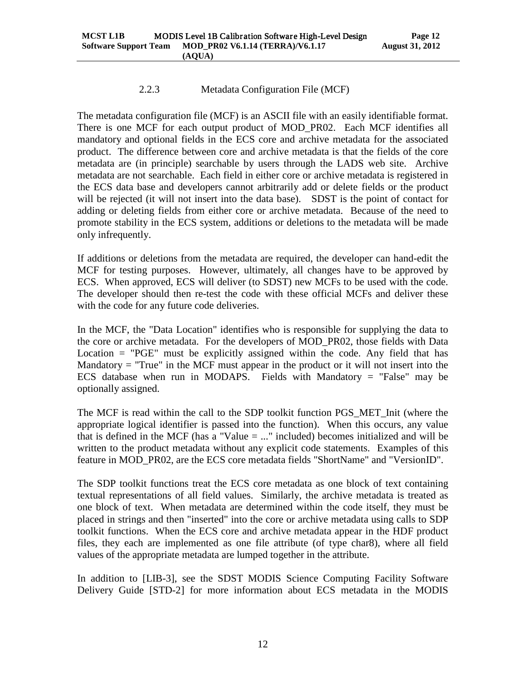#### 2.2.3 Metadata Configuration File (MCF)

<span id="page-15-0"></span>The metadata configuration file (MCF) is an ASCII file with an easily identifiable format. There is one MCF for each output product of MOD\_PR02. Each MCF identifies all mandatory and optional fields in the ECS core and archive metadata for the associated product. The difference between core and archive metadata is that the fields of the core metadata are (in principle) searchable by users through the LADS web site. Archive metadata are not searchable. Each field in either core or archive metadata is registered in the ECS data base and developers cannot arbitrarily add or delete fields or the product will be rejected (it will not insert into the data base). SDST is the point of contact for adding or deleting fields from either core or archive metadata. Because of the need to promote stability in the ECS system, additions or deletions to the metadata will be made only infrequently.

If additions or deletions from the metadata are required, the developer can hand-edit the MCF for testing purposes. However, ultimately, all changes have to be approved by ECS. When approved, ECS will deliver (to SDST) new MCFs to be used with the code. The developer should then re-test the code with these official MCFs and deliver these with the code for any future code deliveries.

In the MCF, the "Data Location" identifies who is responsible for supplying the data to the core or archive metadata. For the developers of MOD\_PR02, those fields with Data Location  $=$  "PGE" must be explicitly assigned within the code. Any field that has Mandatory  $=$  "True" in the MCF must appear in the product or it will not insert into the ECS database when run in MODAPS. Fields with Mandatory  $=$  "False" may be optionally assigned.

The MCF is read within the call to the SDP toolkit function PGS\_MET\_Init (where the appropriate logical identifier is passed into the function). When this occurs, any value that is defined in the MCF (has a "Value  $=$  ..." included) becomes initialized and will be written to the product metadata without any explicit code statements. Examples of this feature in MOD\_PR02, are the ECS core metadata fields "ShortName" and "VersionID".

The SDP toolkit functions treat the ECS core metadata as one block of text containing textual representations of all field values. Similarly, the archive metadata is treated as one block of text. When metadata are determined within the code itself, they must be placed in strings and then "inserted" into the core or archive metadata using calls to SDP toolkit functions. When the ECS core and archive metadata appear in the HDF product files, they each are implemented as one file attribute (of type char8), where all field values of the appropriate metadata are lumped together in the attribute.

In addition to [LIB-3], see the SDST MODIS Science Computing Facility Software Delivery Guide [STD-2] for more information about ECS metadata in the MODIS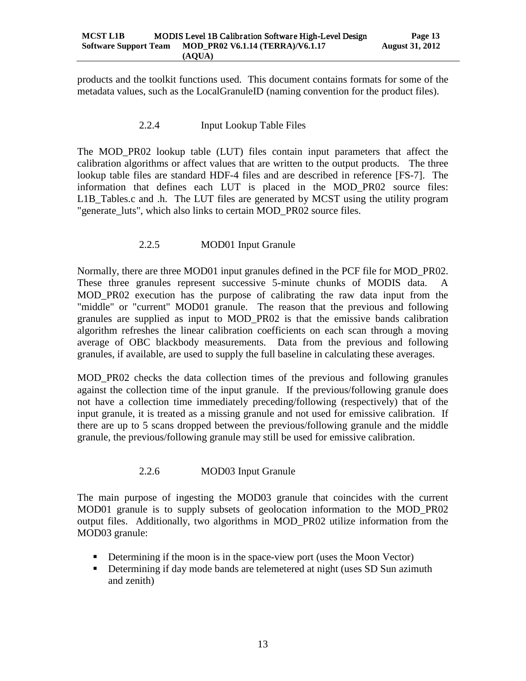<span id="page-16-0"></span>products and the toolkit functions used. This document contains formats for some of the metadata values, such as the LocalGranuleID (naming convention for the product files).

## 2.2.4 Input Lookup Table Files

The MOD\_PR02 lookup table (LUT) files contain input parameters that affect the calibration algorithms or affect values that are written to the output products. The three lookup table files are standard HDF-4 files and are described in reference [FS-7]. The information that defines each LUT is placed in the MOD\_PR02 source files: L1B Tables.c and .h. The LUT files are generated by MCST using the utility program "generate\_luts", which also links to certain MOD\_PR02 source files.

## 2.2.5 MOD01 Input Granule

<span id="page-16-1"></span>Normally, there are three MOD01 input granules defined in the PCF file for MOD\_PR02. These three granules represent successive 5-minute chunks of MODIS data. A MOD\_PR02 execution has the purpose of calibrating the raw data input from the "middle" or "current" MOD01 granule. The reason that the previous and following granules are supplied as input to MOD\_PR02 is that the emissive bands calibration algorithm refreshes the linear calibration coefficients on each scan through a moving average of OBC blackbody measurements. Data from the previous and following granules, if available, are used to supply the full baseline in calculating these averages.

MOD\_PR02 checks the data collection times of the previous and following granules against the collection time of the input granule. If the previous/following granule does not have a collection time immediately preceding/following (respectively) that of the input granule, it is treated as a missing granule and not used for emissive calibration. If there are up to 5 scans dropped between the previous/following granule and the middle granule, the previous/following granule may still be used for emissive calibration.

# 2.2.6 MOD03 Input Granule

<span id="page-16-2"></span>The main purpose of ingesting the MOD03 granule that coincides with the current MOD01 granule is to supply subsets of geolocation information to the MOD\_PR02 output files. Additionally, two algorithms in MOD\_PR02 utilize information from the MOD03 granule:

- Determining if the moon is in the space-view port (uses the Moon Vector)
- Determining if day mode bands are telemetered at night (uses SD Sun azimuth and zenith)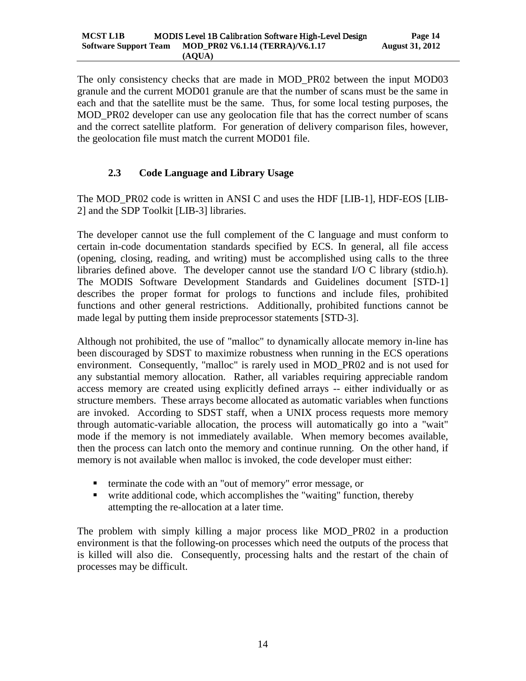The only consistency checks that are made in MOD\_PR02 between the input MOD03 granule and the current MOD01 granule are that the number of scans must be the same in each and that the satellite must be the same. Thus, for some local testing purposes, the MOD PR02 developer can use any geolocation file that has the correct number of scans and the correct satellite platform. For generation of delivery comparison files, however, the geolocation file must match the current MOD01 file.

# <span id="page-17-0"></span>**2.3 Code Language and Library Usage**

The MOD\_PR02 code is written in ANSI C and uses the HDF [LIB-1], HDF-EOS [LIB-2] and the SDP Toolkit [LIB-3] libraries.

The developer cannot use the full complement of the C language and must conform to certain in-code documentation standards specified by ECS. In general, all file access (opening, closing, reading, and writing) must be accomplished using calls to the three libraries defined above. The developer cannot use the standard I/O C library (stdio.h). The MODIS Software Development Standards and Guidelines document [STD-1] describes the proper format for prologs to functions and include files, prohibited functions and other general restrictions. Additionally, prohibited functions cannot be made legal by putting them inside preprocessor statements [STD-3].

Although not prohibited, the use of "malloc" to dynamically allocate memory in-line has been discouraged by SDST to maximize robustness when running in the ECS operations environment. Consequently, "malloc" is rarely used in MOD\_PR02 and is not used for any substantial memory allocation. Rather, all variables requiring appreciable random access memory are created using explicitly defined arrays -- either individually or as structure members. These arrays become allocated as automatic variables when functions are invoked. According to SDST staff, when a UNIX process requests more memory through automatic-variable allocation, the process will automatically go into a "wait" mode if the memory is not immediately available. When memory becomes available, then the process can latch onto the memory and continue running. On the other hand, if memory is not available when malloc is invoked, the code developer must either:

- **terminate the code with an "out of memory" error message, or**
- write additional code, which accomplishes the "waiting" function, thereby attempting the re-allocation at a later time.

The problem with simply killing a major process like MOD\_PR02 in a production environment is that the following-on processes which need the outputs of the process that is killed will also die. Consequently, processing halts and the restart of the chain of processes may be difficult.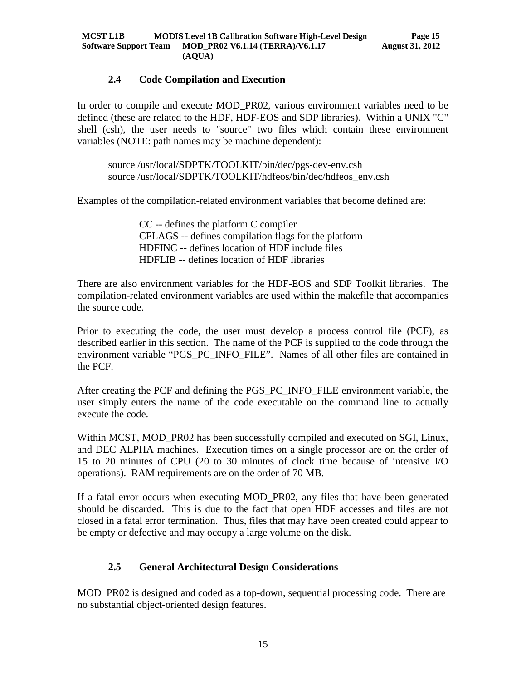# **2.4 Code Compilation and Execution**

<span id="page-18-0"></span>In order to compile and execute MOD\_PR02, various environment variables need to be defined (these are related to the HDF, HDF-EOS and SDP libraries). Within a UNIX "C" shell (csh), the user needs to "source" two files which contain these environment variables (NOTE: path names may be machine dependent):

source /usr/local/SDPTK/TOOLKIT/bin/dec/pgs-dev-env.csh source /usr/local/SDPTK/TOOLKIT/hdfeos/bin/dec/hdfeos\_env.csh

Examples of the compilation-related environment variables that become defined are:

CC -- defines the platform C compiler CFLAGS -- defines compilation flags for the platform HDFINC -- defines location of HDF include files HDFLIB -- defines location of HDF libraries

There are also environment variables for the HDF-EOS and SDP Toolkit libraries. The compilation-related environment variables are used within the makefile that accompanies the source code.

Prior to executing the code, the user must develop a process control file (PCF), as described earlier in this section. The name of the PCF is supplied to the code through the environment variable "PGS\_PC\_INFO\_FILE". Names of all other files are contained in the PCF.

After creating the PCF and defining the PGS\_PC\_INFO\_FILE environment variable, the user simply enters the name of the code executable on the command line to actually execute the code.

Within MCST, MOD PR02 has been successfully compiled and executed on SGI, Linux, and DEC ALPHA machines. Execution times on a single processor are on the order of 15 to 20 minutes of CPU (20 to 30 minutes of clock time because of intensive I/O operations). RAM requirements are on the order of 70 MB.

If a fatal error occurs when executing MOD PR02, any files that have been generated should be discarded. This is due to the fact that open HDF accesses and files are not closed in a fatal error termination. Thus, files that may have been created could appear to be empty or defective and may occupy a large volume on the disk.

# <span id="page-18-1"></span>**2.5 General Architectural Design Considerations**

MOD PR02 is designed and coded as a top-down, sequential processing code. There are no substantial object-oriented design features.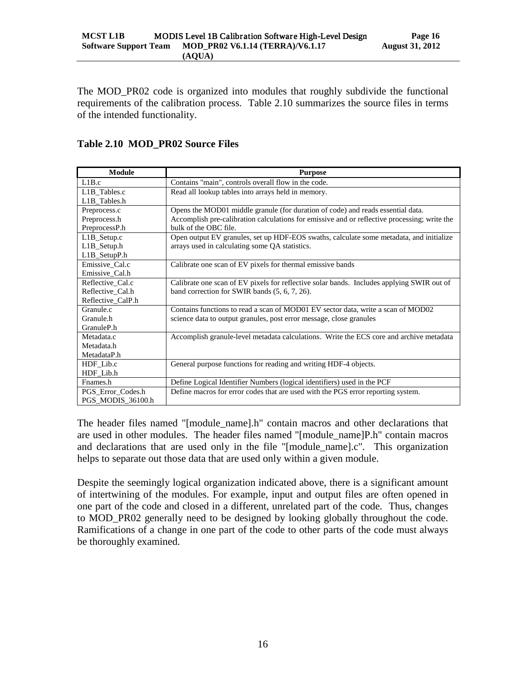The MOD\_PR02 code is organized into modules that roughly subdivide the functional requirements of the calibration process. Table 2.10 summarizes the source files in terms of the intended functionality.

#### <span id="page-19-0"></span>**Table 2.10 MOD\_PR02 Source Files**

| <b>Module</b>     | <b>Purpose</b>                                                                               |
|-------------------|----------------------------------------------------------------------------------------------|
| L1B.c             | Contains "main", controls overall flow in the code.                                          |
| L1B_Tables.c      | Read all lookup tables into arrays held in memory.                                           |
| L1B_Tables.h      |                                                                                              |
| Preprocess.c      | Opens the MOD01 middle granule (for duration of code) and reads essential data.              |
| Preprocess.h      | Accomplish pre-calibration calculations for emissive and or reflective processing; write the |
| PreprocessP.h     | bulk of the OBC file.                                                                        |
| $L1B$ Setup.c     | Open output EV granules, set up HDF-EOS swaths, calculate some metadata, and initialize      |
| L1B_Setup.h       | arrays used in calculating some QA statistics.                                               |
| L1B_SetupP.h      |                                                                                              |
| Emissive_Cal.c    | Calibrate one scan of EV pixels for thermal emissive bands                                   |
| Emissive Cal.h    |                                                                                              |
| Reflective Cal.c  | Calibrate one scan of EV pixels for reflective solar bands. Includes applying SWIR out of    |
| Reflective Cal.h  | band correction for SWIR bands $(5, 6, 7, 26)$ .                                             |
| Reflective_CalP.h |                                                                                              |
| Granule.c         | Contains functions to read a scan of MOD01 EV sector data, write a scan of MOD02             |
| Granule.h         | science data to output granules, post error message, close granules                          |
| GranuleP.h        |                                                                                              |
| Metadata.c        | Accomplish granule-level metadata calculations. Write the ECS core and archive metadata      |
| Metadata.h        |                                                                                              |
| MetadataP.h       |                                                                                              |
| HDF_Lib.c         | General purpose functions for reading and writing HDF-4 objects.                             |
| HDF_Lib.h         |                                                                                              |
| Fnames.h          | Define Logical Identifier Numbers (logical identifiers) used in the PCF                      |
| PGS_Error_Codes.h | Define macros for error codes that are used with the PGS error reporting system.             |
| PGS_MODIS_36100.h |                                                                                              |

The header files named "[module\_name].h" contain macros and other declarations that are used in other modules. The header files named "[module\_name]P.h" contain macros and declarations that are used only in the file "[module\_name].c". This organization helps to separate out those data that are used only within a given module.

Despite the seemingly logical organization indicated above, there is a significant amount of intertwining of the modules. For example, input and output files are often opened in one part of the code and closed in a different, unrelated part of the code. Thus, changes to MOD\_PR02 generally need to be designed by looking globally throughout the code. Ramifications of a change in one part of the code to other parts of the code must always be thoroughly examined.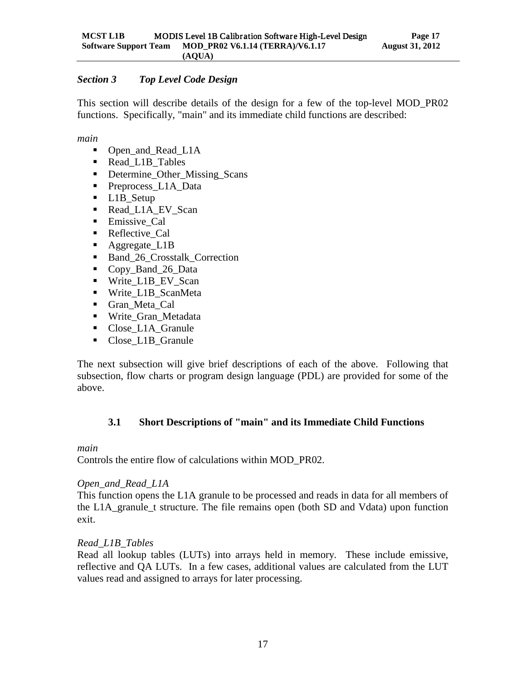## <span id="page-20-0"></span>*Section 3 Top Level Code Design*

This section will describe details of the design for a few of the top-level MOD\_PR02 functions. Specifically, "main" and its immediate child functions are described:

*main*

- Open\_and\_Read\_L1A
- Read L1B Tables
- Determine\_Other\_Missing\_Scans
- Preprocess L1A Data
- L1B\_Setup
- Read\_L1A\_EV\_Scan
- **Emissive Cal**
- **Reflective Cal**
- Aggregate L1B
- Band 26 Crosstalk Correction
- Copy\_Band\_26\_Data
- Write L1B EV Scan
- Write\_L1B\_ScanMeta
- Gran Meta Cal
- Write\_Gran\_Metadata
- Close L1A Granule
- Close\_L1B\_Granule

The next subsection will give brief descriptions of each of the above. Following that subsection, flow charts or program design language (PDL) are provided for some of the above.

# <span id="page-20-1"></span>**3.1 Short Descriptions of "main" and its Immediate Child Functions**

#### *main*

Controls the entire flow of calculations within MOD\_PR02.

#### *Open\_and\_Read\_L1A*

This function opens the L1A granule to be processed and reads in data for all members of the L1A\_granule\_t structure. The file remains open (both SD and Vdata) upon function exit.

#### *Read\_L1B\_Tables*

Read all lookup tables (LUTs) into arrays held in memory. These include emissive, reflective and QA LUTs. In a few cases, additional values are calculated from the LUT values read and assigned to arrays for later processing.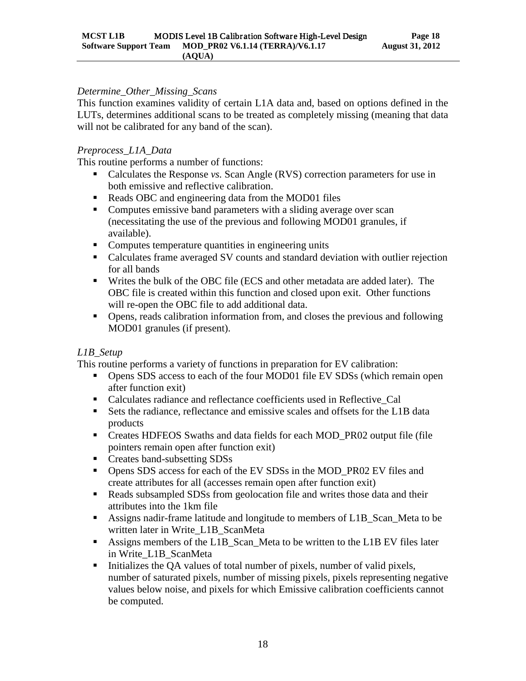#### *Determine\_Other\_Missing\_Scans*

This function examines validity of certain L1A data and, based on options defined in the LUTs, determines additional scans to be treated as completely missing (meaning that data will not be calibrated for any band of the scan).

#### *Preprocess\_L1A\_Data*

This routine performs a number of functions:

- Calculates the Response *vs*. Scan Angle (RVS) correction parameters for use in both emissive and reflective calibration.
- Reads OBC and engineering data from the MOD01 files
- Computes emissive band parameters with a sliding average over scan (necessitating the use of the previous and following MOD01 granules, if available).
- Computes temperature quantities in engineering units
- Calculates frame averaged SV counts and standard deviation with outlier rejection for all bands
- Writes the bulk of the OBC file (ECS and other metadata are added later). The OBC file is created within this function and closed upon exit. Other functions will re-open the OBC file to add additional data.
- Opens, reads calibration information from, and closes the previous and following MOD01 granules (if present).

# *L1B\_Setup*

This routine performs a variety of functions in preparation for EV calibration:

- **•** Opens SDS access to each of the four MOD01 file EV SDSs (which remain open after function exit)
- Calculates radiance and reflectance coefficients used in Reflective\_Cal
- Sets the radiance, reflectance and emissive scales and offsets for the L1B data products
- Creates HDFEOS Swaths and data fields for each MOD\_PR02 output file (file pointers remain open after function exit)
- Creates band-subsetting SDSs
- Opens SDS access for each of the EV SDSs in the MOD\_PR02 EV files and create attributes for all (accesses remain open after function exit)
- Reads subsampled SDSs from geolocation file and writes those data and their attributes into the 1km file
- Assigns nadir-frame latitude and longitude to members of L1B\_Scan\_Meta to be written later in Write\_L1B\_ScanMeta
- Assigns members of the L1B\_Scan\_Meta to be written to the L1B EV files later in Write\_L1B\_ScanMeta
- Initializes the QA values of total number of pixels, number of valid pixels, number of saturated pixels, number of missing pixels, pixels representing negative values below noise, and pixels for which Emissive calibration coefficients cannot be computed.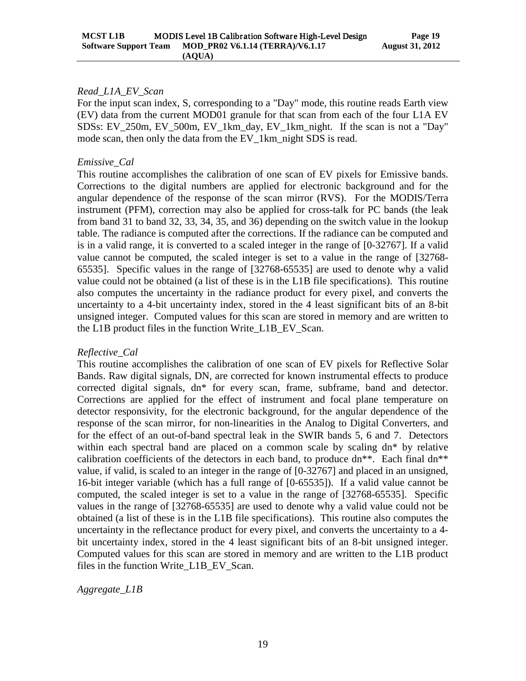#### *Read\_L1A\_EV\_Scan*

For the input scan index, S, corresponding to a "Day" mode, this routine reads Earth view (EV) data from the current MOD01 granule for that scan from each of the four L1A EV SDSs: EV\_250m, EV\_500m, EV\_1km\_day, EV\_1km\_night. If the scan is not a "Day" mode scan, then only the data from the EV 1km night SDS is read.

#### *Emissive\_Cal*

This routine accomplishes the calibration of one scan of EV pixels for Emissive bands. Corrections to the digital numbers are applied for electronic background and for the angular dependence of the response of the scan mirror (RVS). For the MODIS/Terra instrument (PFM), correction may also be applied for cross-talk for PC bands (the leak from band 31 to band 32, 33, 34, 35, and 36) depending on the switch value in the lookup table. The radiance is computed after the corrections. If the radiance can be computed and is in a valid range, it is converted to a scaled integer in the range of [0-32767]. If a valid value cannot be computed, the scaled integer is set to a value in the range of [32768- 65535]. Specific values in the range of [32768-65535] are used to denote why a valid value could not be obtained (a list of these is in the L1B file specifications). This routine also computes the uncertainty in the radiance product for every pixel, and converts the uncertainty to a 4-bit uncertainty index, stored in the 4 least significant bits of an 8-bit unsigned integer. Computed values for this scan are stored in memory and are written to the L1B product files in the function Write\_L1B\_EV\_Scan.

#### *Reflective\_Cal*

This routine accomplishes the calibration of one scan of EV pixels for Reflective Solar Bands. Raw digital signals, DN, are corrected for known instrumental effects to produce corrected digital signals, dn\* for every scan, frame, subframe, band and detector. Corrections are applied for the effect of instrument and focal plane temperature on detector responsivity, for the electronic background, for the angular dependence of the response of the scan mirror, for non-linearities in the Analog to Digital Converters, and for the effect of an out-of-band spectral leak in the SWIR bands 5, 6 and 7. Detectors within each spectral band are placed on a common scale by scaling dn\* by relative calibration coefficients of the detectors in each band, to produce  $dn^{**}$ . Each final  $dn^{**}$ value, if valid, is scaled to an integer in the range of [0-32767] and placed in an unsigned, 16-bit integer variable (which has a full range of [0-65535]). If a valid value cannot be computed, the scaled integer is set to a value in the range of [32768-65535]. Specific values in the range of [32768-65535] are used to denote why a valid value could not be obtained (a list of these is in the L1B file specifications). This routine also computes the uncertainty in the reflectance product for every pixel, and converts the uncertainty to a 4 bit uncertainty index, stored in the 4 least significant bits of an 8-bit unsigned integer. Computed values for this scan are stored in memory and are written to the L1B product files in the function Write\_L1B\_EV\_Scan.

*Aggregate\_L1B*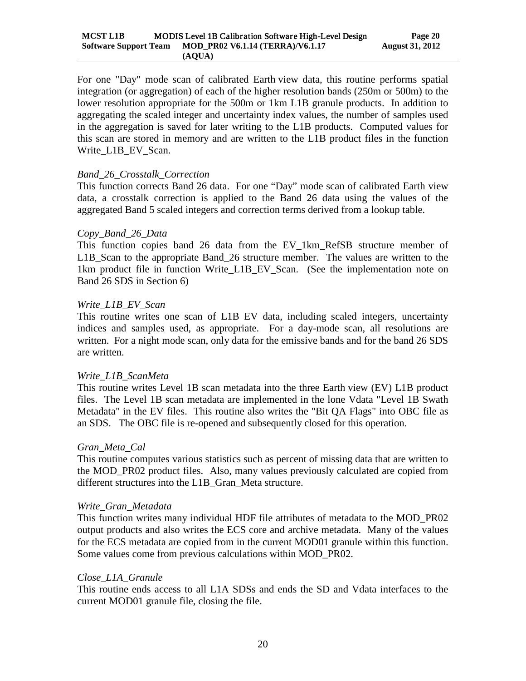For one "Day" mode scan of calibrated Earth view data, this routine performs spatial integration (or aggregation) of each of the higher resolution bands (250m or 500m) to the lower resolution appropriate for the 500m or 1km L1B granule products. In addition to aggregating the scaled integer and uncertainty index values, the number of samples used in the aggregation is saved for later writing to the L1B products. Computed values for this scan are stored in memory and are written to the L1B product files in the function Write\_L1B\_EV\_Scan.

#### *Band\_26\_Crosstalk\_Correction*

This function corrects Band 26 data. For one "Day" mode scan of calibrated Earth view data, a crosstalk correction is applied to the Band 26 data using the values of the aggregated Band 5 scaled integers and correction terms derived from a lookup table.

#### *Copy\_Band\_26\_Data*

This function copies band 26 data from the EV\_1km\_RefSB structure member of L1B\_Scan to the appropriate Band\_26 structure member. The values are written to the 1km product file in function Write\_L1B\_EV\_Scan. (See the implementation note on Band 26 SDS in Section 6)

#### *Write\_L1B\_EV\_Scan*

This routine writes one scan of L1B EV data, including scaled integers, uncertainty indices and samples used, as appropriate. For a day-mode scan, all resolutions are written. For a night mode scan, only data for the emissive bands and for the band 26 SDS are written.

#### *Write\_L1B\_ScanMeta*

This routine writes Level 1B scan metadata into the three Earth view (EV) L1B product files. The Level 1B scan metadata are implemented in the lone Vdata "Level 1B Swath Metadata" in the EV files. This routine also writes the "Bit QA Flags" into OBC file as an SDS. The OBC file is re-opened and subsequently closed for this operation.

#### *Gran\_Meta\_Cal*

This routine computes various statistics such as percent of missing data that are written to the MOD\_PR02 product files. Also, many values previously calculated are copied from different structures into the L1B\_Gran\_Meta structure.

#### *Write\_Gran\_Metadata*

This function writes many individual HDF file attributes of metadata to the MOD\_PR02 output products and also writes the ECS core and archive metadata. Many of the values for the ECS metadata are copied from in the current MOD01 granule within this function. Some values come from previous calculations within MOD\_PR02.

#### *Close\_L1A\_Granule*

This routine ends access to all L1A SDSs and ends the SD and Vdata interfaces to the current MOD01 granule file, closing the file.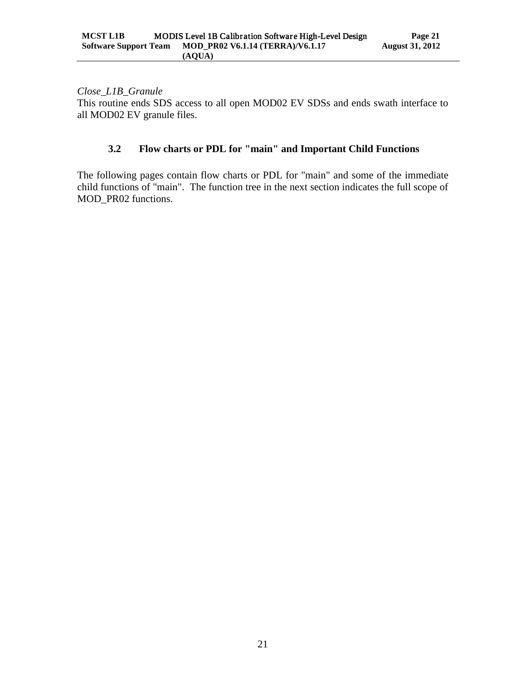*Close\_L1B\_Granule* This routine ends SDS access to all open MOD02 EV SDSs and ends swath interface to all MOD02 EV granule files.

# <span id="page-24-0"></span>**3.2 Flow charts or PDL for "main" and Important Child Functions**

The following pages contain flow charts or PDL for "main" and some of the immediate child functions of "main". The function tree in the next section indicates the full scope of MOD\_PR02 functions.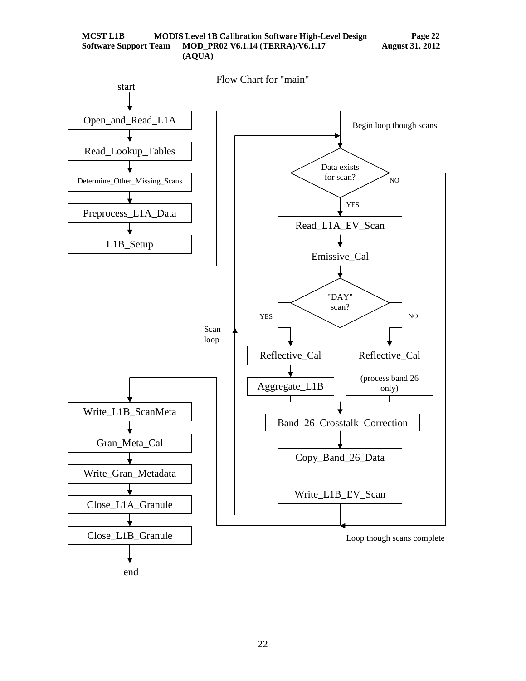

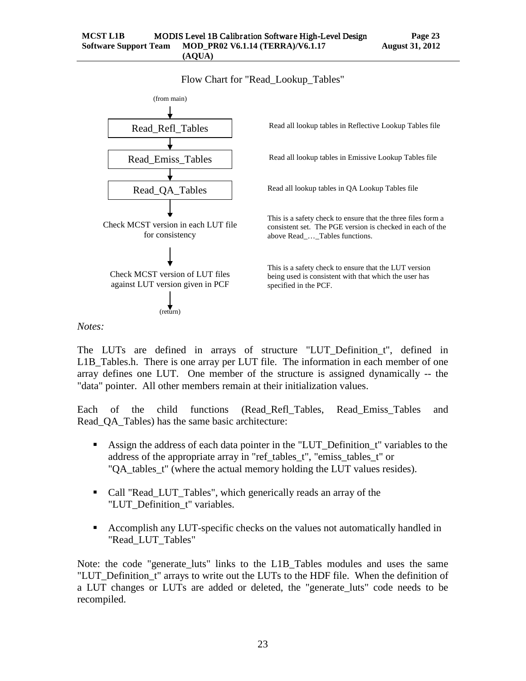Flow Chart for "Read\_Lookup\_Tables"



*Notes:*

The LUTs are defined in arrays of structure "LUT\_Definition\_t", defined in L1B\_Tables.h. There is one array per LUT file. The information in each member of one array defines one LUT. One member of the structure is assigned dynamically -- the "data" pointer. All other members remain at their initialization values.

Each of the child functions (Read\_Refl\_Tables, Read\_Emiss\_Tables and Read\_QA\_Tables) has the same basic architecture:

- Assign the address of each data pointer in the "LUT\_Definition\_t" variables to the address of the appropriate array in "ref\_tables\_t", "emiss\_tables\_t" or "QA tables t" (where the actual memory holding the LUT values resides).
- Call "Read LUT Tables", which generically reads an array of the "LUT\_Definition\_t" variables.
- Accomplish any LUT-specific checks on the values not automatically handled in "Read\_LUT\_Tables"

Note: the code "generate luts" links to the L1B Tables modules and uses the same "LUT\_Definition\_t" arrays to write out the LUTs to the HDF file. When the definition of a LUT changes or LUTs are added or deleted, the "generate luts" code needs to be recompiled.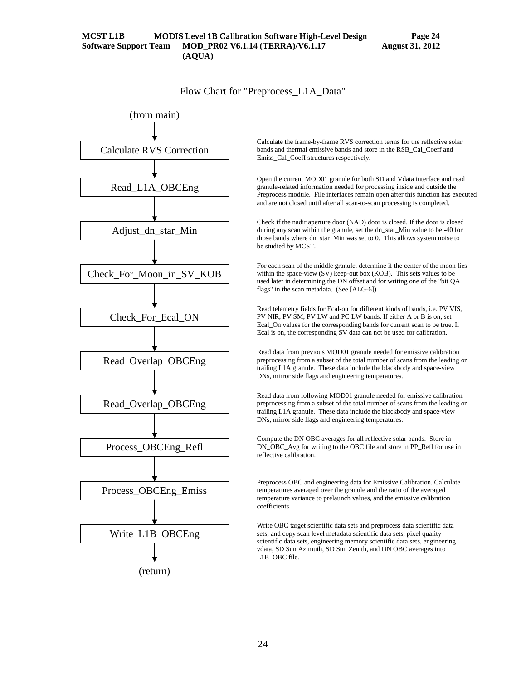Flow Chart for "Preprocess\_L1A\_Data"



(return)

Calculate the frame-by-frame RVS correction terms for the reflective solar bands and thermal emissive bands and store in the RSB\_Cal\_Coeff and Emiss Cal Coeff structures respectively.

Open the current MOD01 granule for both SD and Vdata interface and read granule-related information needed for processing inside and outside the Preprocess module. File interfaces remain open after this function has executed and are not closed until after all scan-to-scan processing is completed.

Check if the nadir aperture door (NAD) door is closed. If the door is closed during any scan within the granule, set the dn\_star\_Min value to be -40 for those bands where dn\_star\_Min was set to 0. This allows system noise to be studied by MCST.

For each scan of the middle granule, determine if the center of the moon lies within the space-view (SV) keep-out box (KOB). This sets values to be used later in determining the DN offset and for writing one of the "bit QA flags" in the scan metadata. (See [ALG-6])

Read telemetry fields for Ecal-on for different kinds of bands, i.e. PV VIS, PV NIR, PV SM, PV LW and PC LW bands. If either A or B is on, set Ecal\_On values for the corresponding bands for current scan to be true. If Ecal is on, the corresponding SV data can not be used for calibration.

Read data from previous MOD01 granule needed for emissive calibration preprocessing from a subset of the total number of scans from the leading or trailing L1A granule. These data include the blackbody and space-view DNs, mirror side flags and engineering temperatures.

Read data from following MOD01 granule needed for emissive calibration preprocessing from a subset of the total number of scans from the leading or trailing L1A granule. These data include the blackbody and space-view DNs, mirror side flags and engineering temperatures.

Compute the DN OBC averages for all reflective solar bands. Store in DN\_OBC\_Avg for writing to the OBC file and store in PP\_Refl for use in reflective calibration.

Preprocess OBC and engineering data for Emissive Calibration. Calculate temperatures averaged over the granule and the ratio of the averaged temperature variance to prelaunch values, and the emissive calibration coefficients.

Write OBC target scientific data sets and preprocess data scientific data sets, and copy scan level metadata scientific data sets, pixel quality scientific data sets, engineering memory scientific data sets, engineering vdata, SD Sun Azimuth, SD Sun Zenith, and DN OBC averages into L1B\_OBC file.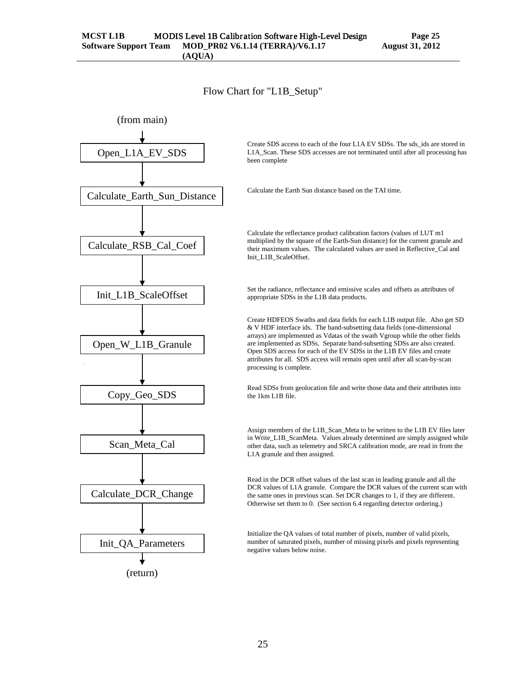Flow Chart for "L1B\_Setup"

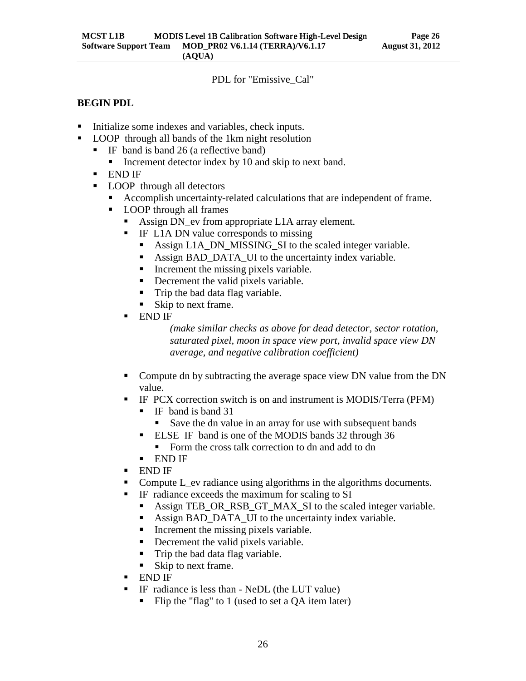PDL for "Emissive\_Cal"

#### **BEGIN PDL**

- Initialize some indexes and variables, check inputs.
- LOOP through all bands of the 1km night resolution
	- IF band is band 26 (a reflective band)
		- Increment detector index by 10 and skip to next band.
	- END IF
	- **LOOP** through all detectors
		- Accomplish uncertainty-related calculations that are independent of frame.
		- **LOOP** through all frames
			- Assign DN\_ev from appropriate L1A array element.
			- **IF L1A DN value corresponds to missing** 
				- Assign L1A\_DN\_MISSING\_SI to the scaled integer variable.
				- Assign BAD\_DATA\_UI to the uncertainty index variable.
				- $\blacksquare$  Increment the missing pixels variable.
				- Decrement the valid pixels variable.
				- Trip the bad data flag variable.
				- Skip to next frame.
			- END IF

*(make similar checks as above for dead detector, sector rotation, saturated pixel, moon in space view port, invalid space view DN average, and negative calibration coefficient)*

- Compute dn by subtracting the average space view DN value from the DN value.
- IF PCX correction switch is on and instrument is MODIS/Terra (PFM)
	- IF band is band 31
		- Save the dn value in an array for use with subsequent bands
	- **ELSE IF band is one of the MODIS bands 32 through 36** 
		- Form the cross talk correction to dn and add to dn
	- END IF
- END IF
- Compute L\_ev radiance using algorithms in the algorithms documents.
- IF radiance exceeds the maximum for scaling to SI
	- Assign TEB\_OR\_RSB\_GT\_MAX\_SI to the scaled integer variable.
	- Assign BAD DATA UI to the uncertainty index variable.
	- $\blacksquare$  Increment the missing pixels variable.
	- Decrement the valid pixels variable.
	- Trip the bad data flag variable.
	- Skip to next frame.
- END IF
- IF radiance is less than NeDL (the LUT value)
	- Flip the "flag" to 1 (used to set a QA item later)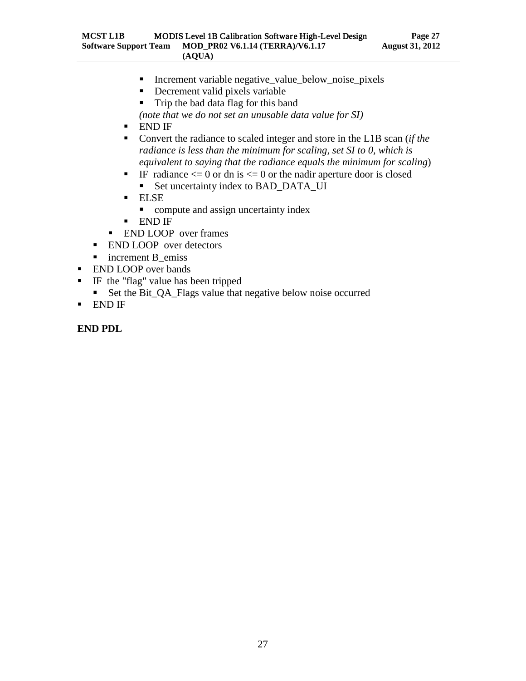- Increment variable negative\_value\_below\_noise\_pixels
- Decrement valid pixels variable
- Trip the bad data flag for this band
- *(note that we do not set an unusable data value for SI)*
- END IF
- Convert the radiance to scaled integer and store in the L1B scan (*if the radiance is less than the minimum for scaling, set SI to 0, which is equivalent to saying that the radiance equals the minimum for scaling*)
- IF radiance  $\leq$  0 or dn is  $\leq$  0 or the nadir aperture door is closed
	- Set uncertainty index to BAD\_DATA\_UI
- ELSE
	- compute and assign uncertainty index
- END IF
- **END LOOP** over frames
- **END LOOP** over detectors
- n increment B emiss
- **END LOOP** over bands
- IF the "flag" value has been tripped
	- Set the Bit\_QA\_Flags value that negative below noise occurred
- END IF

**END PDL**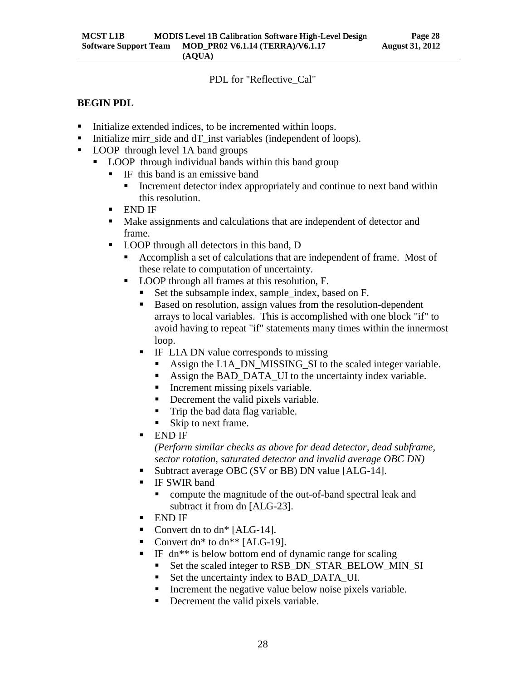#### PDL for "Reflective\_Cal"

#### **BEGIN PDL**

- Initialize extended indices, to be incremented within loops.
- Initialize mirr\_side and dT\_inst variables (independent of loops).
- LOOP through level 1A band groups
	- **LOOP** through individual bands within this band group
		- $\blacksquare$  IF this band is an emissive band
			- Increment detector index appropriately and continue to next band within this resolution.
		- END IF
		- Make assignments and calculations that are independent of detector and frame.
		- LOOP through all detectors in this band, D
			- Accomplish a set of calculations that are independent of frame. Most of these relate to computation of uncertainty.
			- LOOP through all frames at this resolution, F.
				- Set the subsample index, sample\_index, based on F.
				- Based on resolution, assign values from the resolution-dependent arrays to local variables. This is accomplished with one block "if" to avoid having to repeat "if" statements many times within the innermost loop.
				- **IF L1A DN value corresponds to missing** 
					- Assign the L1A\_DN\_MISSING\_SI to the scaled integer variable.
					- Assign the BAD DATA UI to the uncertainty index variable.
					- Increment missing pixels variable.
					- Decrement the valid pixels variable.
					- Trip the bad data flag variable.
					- Skip to next frame.
				- END IF

*(Perform similar checks as above for dead detector, dead subframe, sector rotation, saturated detector and invalid average OBC DN)*

- Subtract average OBC (SV or BB) DN value [ALG-14].
- **IF SWIR band** 
	- compute the magnitude of the out-of-band spectral leak and subtract it from dn [ALG-23].
- END IF
- Convert dn to  $dn^*$  [ALG-14].
- Convert dn\* to dn\*\*  $[ALG-19]$ .
- IF dn\*\* is below bottom end of dynamic range for scaling
	- Set the scaled integer to RSB\_DN\_STAR\_BELOW\_MIN\_SI
	- Set the uncertainty index to BAD\_DATA\_UI.
	- Increment the negative value below noise pixels variable.
	- Decrement the valid pixels variable.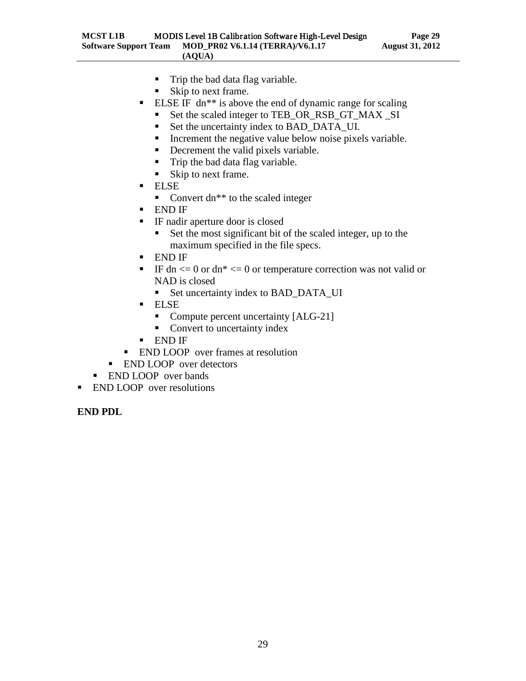- Trip the bad data flag variable.
- Skip to next frame.
- **ELSE IF** dn<sup>\*\*</sup> is above the end of dynamic range for scaling
	- Set the scaled integer to TEB\_OR\_RSB\_GT\_MAX \_SI
	- Set the uncertainty index to BAD\_DATA\_UI.
	- **Increment the negative value below noise pixels variable.**
	- Decrement the valid pixels variable.
	- Trip the bad data flag variable.
	- Skip to next frame.
- ELSE
	- Convert dn<sup>\*\*</sup> to the scaled integer
- END IF
- IF nadir aperture door is closed
	- Set the most significant bit of the scaled integer, up to the maximum specified in the file specs.
- END IF
- IF dn  $\leq$  0 or dn\*  $\leq$  0 or temperature correction was not valid or NAD is closed
	- Set uncertainty index to BAD\_DATA\_UI
- ELSE
	- Compute percent uncertainty [ALG-21]
	- Convert to uncertainty index
- END IF
- **END LOOP** over frames at resolution
- **END LOOP** over detectors
- **END LOOP** over bands
- **END LOOP** over resolutions

# **END PDL**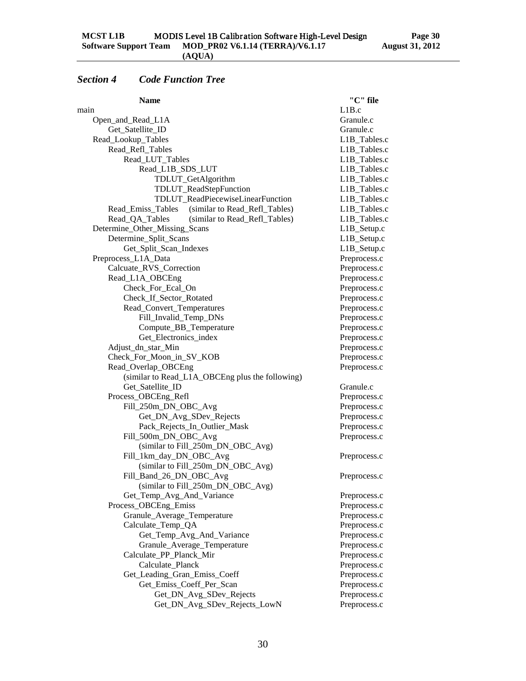# <span id="page-33-0"></span>*Section 4 Code Function Tree*

| <b>Name</b>                                        | "C" file     |
|----------------------------------------------------|--------------|
| main                                               | L1B.c        |
| Open_and_Read_L1A                                  | Granule.c    |
| Get_Satellite_ID                                   | Granule.c    |
| Read_Lookup_Tables                                 | L1B_Tables.c |
| Read_Refl_Tables                                   | L1B_Tables.c |
| Read_LUT_Tables                                    | L1B_Tables.c |
| Read_L1B_SDS_LUT                                   | L1B_Tables.c |
| TDLUT_GetAlgorithm                                 | L1B_Tables.c |
| TDLUT_ReadStepFunction                             | L1B Tables.c |
| TDLUT_ReadPiecewiseLinearFunction                  | L1B_Tables.c |
| (similar to Read_Refl_Tables)<br>Read_Emiss_Tables | L1B_Tables.c |
| Read_QA_Tables<br>(similar to Read_Refl_Tables)    | L1B_Tables.c |
| Determine_Other_Missing_Scans                      | L1B_Setup.c  |
| Determine_Split_Scans                              | L1B_Setup.c  |
| Get_Split_Scan_Indexes                             | L1B_Setup.c  |
| Preprocess_L1A_Data                                | Preprocess.c |
| Calcuate_RVS_Correction                            | Preprocess.c |
| Read_L1A_OBCEng                                    | Preprocess.c |
| Check_For_Ecal_On                                  | Preprocess.c |
| Check_If_Sector_Rotated                            | Preprocess.c |
| Read_Convert_Temperatures                          | Preprocess.c |
| Fill_Invalid_Temp_DNs                              | Preprocess.c |
| Compute_BB_Temperature                             | Preprocess.c |
| Get_Electronics_index                              | Preprocess.c |
| Adjust_dn_star_Min                                 | Preprocess.c |
| Check_For_Moon_in_SV_KOB                           | Preprocess.c |
| Read_Overlap_OBCEng                                | Preprocess.c |
| (similar to Read_L1A_OBCEng plus the following)    |              |
| Get_Satellite_ID                                   | Granule.c    |
| Process_OBCEng_Refl                                | Preprocess.c |
| Fill_250m_DN_OBC_Avg                               | Preprocess.c |
| Get_DN_Avg_SDev_Rejects                            | Preprocess.c |
| Pack_Rejects_In_Outlier_Mask                       | Preprocess.c |
| Fill_500m_DN_OBC_Avg                               | Preprocess.c |
| (similar to Fill_250m_DN_OBC_Avg)                  |              |
| Fill_1km_day_DN_OBC_Avg                            | Preprocess.c |
| (similar to Fill_250m_DN_OBC_Avg)                  |              |
| Fill_Band_26_DN_OBC_Avg                            | Preprocess.c |
| (similar to Fill_250m_DN_OBC_Avg)                  |              |
| Get_Temp_Avg_And_Variance                          | Preprocess.c |
| Process_OBCEng_Emiss                               | Preprocess.c |
| Granule_Average_Temperature                        | Preprocess.c |
| Calculate_Temp_QA                                  | Preprocess.c |
| Get_Temp_Avg_And_Variance                          | Preprocess.c |
| Granule_Average_Temperature                        | Preprocess.c |
| Calculate_PP_Planck_Mir                            | Preprocess.c |
| Calculate_Planck                                   | Preprocess.c |
| Get_Leading_Gran_Emiss_Coeff                       | Preprocess.c |
| Get_Emiss_Coeff_Per_Scan                           | Preprocess.c |
| Get_DN_Avg_SDev_Rejects                            | Preprocess.c |
| Get_DN_Avg_SDev_Rejects_LowN                       | Preprocess.c |
|                                                    |              |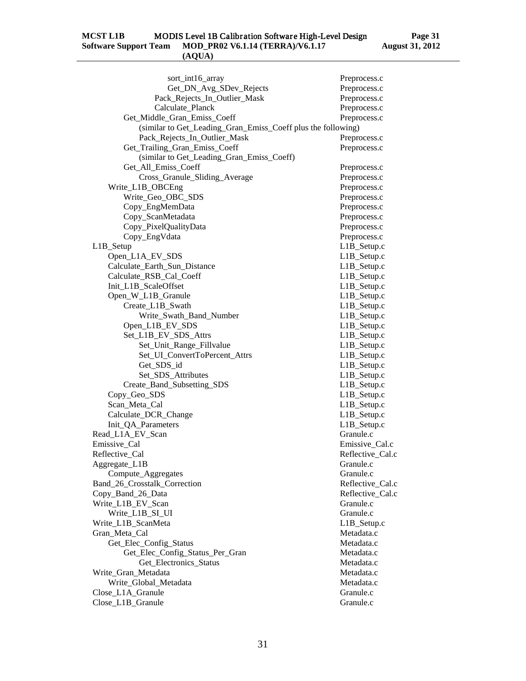| sort_int16_array                                             | Preprocess.c     |
|--------------------------------------------------------------|------------------|
| Get_DN_Avg_SDev_Rejects                                      | Preprocess.c     |
| Pack_Rejects_In_Outlier_Mask                                 | Preprocess.c     |
| Calculate_Planck                                             | Preprocess.c     |
| Get_Middle_Gran_Emiss_Coeff                                  | Preprocess.c     |
| (similar to Get_Leading_Gran_Emiss_Coeff plus the following) |                  |
| Pack_Rejects_In_Outlier_Mask                                 | Preprocess.c     |
| Get_Trailing_Gran_Emiss_Coeff                                | Preprocess.c     |
| (similar to Get_Leading_Gran_Emiss_Coeff)                    |                  |
| Get_All_Emiss_Coeff                                          | Preprocess.c     |
| Cross_Granule_Sliding_Average                                | Preprocess.c     |
| Write_L1B_OBCEng                                             | Preprocess.c     |
| Write_Geo_OBC_SDS                                            | Preprocess.c     |
| Copy_EngMemData                                              | Preprocess.c     |
| Copy_ScanMetadata                                            | Preprocess.c     |
| Copy_PixelQualityData                                        | Preprocess.c     |
| Copy_EngVdata                                                | Preprocess.c     |
| L1B_Setup                                                    | L1B_Setup.c      |
| Open_L1A_EV_SDS                                              | L1B_Setup.c      |
| Calculate_Earth_Sun_Distance                                 | L1B_Setup.c      |
| Calculate_RSB_Cal_Coeff                                      | L1B_Setup.c      |
| Init_L1B_ScaleOffset                                         | L1B_Setup.c      |
| Open_W_L1B_Granule                                           | L1B_Setup.c      |
| Create_L1B_Swath                                             | L1B_Setup.c      |
| Write_Swath_Band_Number                                      | L1B_Setup.c      |
| Open_L1B_EV_SDS                                              | L1B_Setup.c      |
| Set_L1B_EV_SDS_Attrs                                         | L1B_Setup.c      |
| Set_Unit_Range_Fillvalue                                     | L1B_Setup.c      |
| Set_UI_ConvertToPercent_Attrs                                | L1B_Setup.c      |
|                                                              | L1B_Setup.c      |
| Get_SDS_id                                                   | L1B_Setup.c      |
| Set_SDS_Attributes                                           | L1B_Setup.c      |
| Create_Band_Subsetting_SDS                                   |                  |
| Copy_Geo_SDS                                                 | L1B_Setup.c      |
| Scan_Meta_Cal                                                | L1B_Setup.c      |
| Calculate_DCR_Change                                         | L1B_Setup.c      |
| Init_QA_Parameters                                           | L1B_Setup.c      |
| Read_L1A_EV_Scan                                             | Granule.c        |
| Emissive_Cal                                                 | Emissive_Cal.c   |
| Reflective_Cal                                               | Reflective_Cal.c |
| Aggregate_L1B                                                | Granule.c        |
| Compute_Aggregates                                           | Granule.c        |
| Band 26 Crosstalk Correction                                 | Reflective Cal.c |
| Copy_Band_26_Data                                            | Reflective Cal.c |
| Write_L1B_EV_Scan                                            | Granule.c        |
| Write_L1B_SI_UI                                              | Granule.c        |
| Write_L1B_ScanMeta                                           | L1B_Setup.c      |
| Gran_Meta_Cal                                                | Metadata.c       |
| Get_Elec_Config_Status                                       | Metadata.c       |
| Get_Elec_Config_Status_Per_Gran                              | Metadata.c       |
| Get_Electronics_Status                                       | Metadata.c       |
| Write_Gran_Metadata                                          | Metadata.c       |
| Write_Global_Metadata                                        | Metadata.c       |
| Close_L1A_Granule                                            | Granule.c        |
| Close_L1B_Granule                                            | Granule.c        |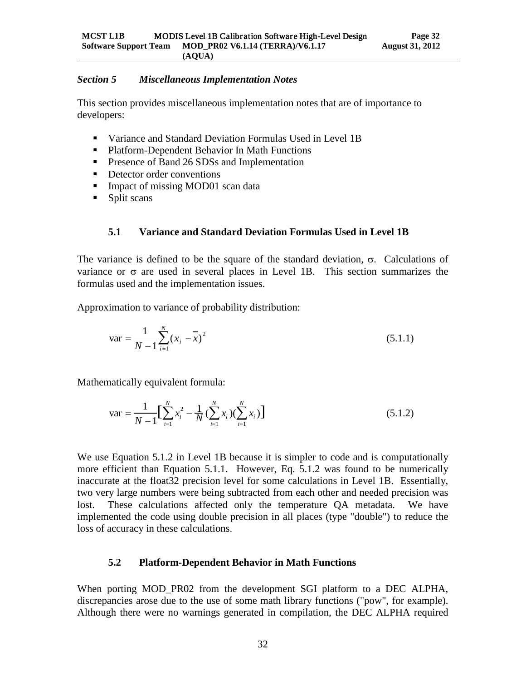#### <span id="page-35-0"></span>*Section 5 Miscellaneous Implementation Notes*

This section provides miscellaneous implementation notes that are of importance to developers:

- Variance and Standard Deviation Formulas Used in Level 1B
- Platform-Dependent Behavior In Math Functions
- **Presence of Band 26 SDSs and Implementation**
- Detector order conventions
- Impact of missing MOD01 scan data
- <span id="page-35-1"></span>• Split scans

#### **5.1 Variance and Standard Deviation Formulas Used in Level 1B**

The variance is defined to be the square of the standard deviation, σ. Calculations of variance or  $\sigma$  are used in several places in Level 1B. This section summarizes the formulas used and the implementation issues.

Approximation to variance of probability distribution:

$$
\text{var} = \frac{1}{N - 1} \sum_{i=1}^{N} (x_i - \overline{x})^2
$$
 (5.1.1)

Mathematically equivalent formula:

$$
\text{var} = \frac{1}{N-1} \Big[ \sum_{i=1}^{N} x_i^2 - \frac{1}{N} \big( \sum_{i=1}^{N} x_i \big) \big( \sum_{i=1}^{N} x_i \big) \Big] \tag{5.1.2}
$$

We use Equation 5.1.2 in Level 1B because it is simpler to code and is computationally more efficient than Equation 5.1.1. However, Eq. 5.1.2 was found to be numerically inaccurate at the float32 precision level for some calculations in Level 1B. Essentially, two very large numbers were being subtracted from each other and needed precision was lost. These calculations affected only the temperature QA metadata. We have implemented the code using double precision in all places (type "double") to reduce the loss of accuracy in these calculations.

#### <span id="page-35-2"></span>**5.2 Platform-Dependent Behavior in Math Functions**

When porting MOD\_PR02 from the development SGI platform to a DEC ALPHA, discrepancies arose due to the use of some math library functions ("pow", for example). Although there were no warnings generated in compilation, the DEC ALPHA required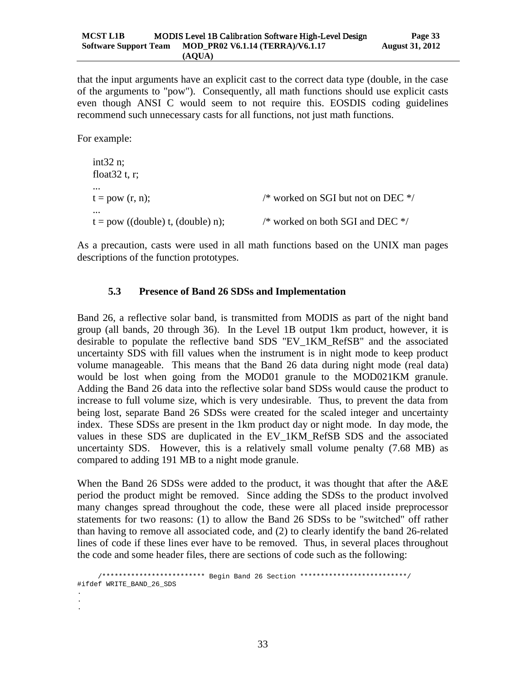that the input arguments have an explicit cast to the correct data type (double, in the case of the arguments to "pow"). Consequently, all math functions should use explicit casts even though ANSI C would seem to not require this. EOSDIS coding guidelines recommend such unnecessary casts for all functions, not just math functions.

For example:

int32 n; float  $32$  t, r; ...  $t = pow (r, n);$  /\* worked on SGI but not on DEC \*/ ...  $t = pow ((double) t, (double) n);$  /\* worked on both SGI and DEC \*/

As a precaution, casts were used in all math functions based on the UNIX man pages descriptions of the function prototypes.

# <span id="page-36-0"></span>**5.3 Presence of Band 26 SDSs and Implementation**

Band 26, a reflective solar band, is transmitted from MODIS as part of the night band group (all bands, 20 through 36). In the Level 1B output 1km product, however, it is desirable to populate the reflective band SDS "EV\_1KM\_RefSB" and the associated uncertainty SDS with fill values when the instrument is in night mode to keep product volume manageable. This means that the Band 26 data during night mode (real data) would be lost when going from the MOD01 granule to the MOD021KM granule. Adding the Band 26 data into the reflective solar band SDSs would cause the product to increase to full volume size, which is very undesirable. Thus, to prevent the data from being lost, separate Band 26 SDSs were created for the scaled integer and uncertainty index. These SDSs are present in the 1km product day or night mode. In day mode, the values in these SDS are duplicated in the EV\_1KM\_RefSB SDS and the associated uncertainty SDS. However, this is a relatively small volume penalty (7.68 MB) as compared to adding 191 MB to a night mode granule.

When the Band 26 SDSs were added to the product, it was thought that after the A&E period the product might be removed. Since adding the SDSs to the product involved many changes spread throughout the code, these were all placed inside preprocessor statements for two reasons: (1) to allow the Band 26 SDSs to be "switched" off rather than having to remove all associated code, and (2) to clearly identify the band 26-related lines of code if these lines ever have to be removed. Thus, in several places throughout the code and some header files, there are sections of code such as the following:

```
 /************************* Begin Band 26 Section **************************/
#ifdef WRITE_BAND_26_SDS
.
.
.
```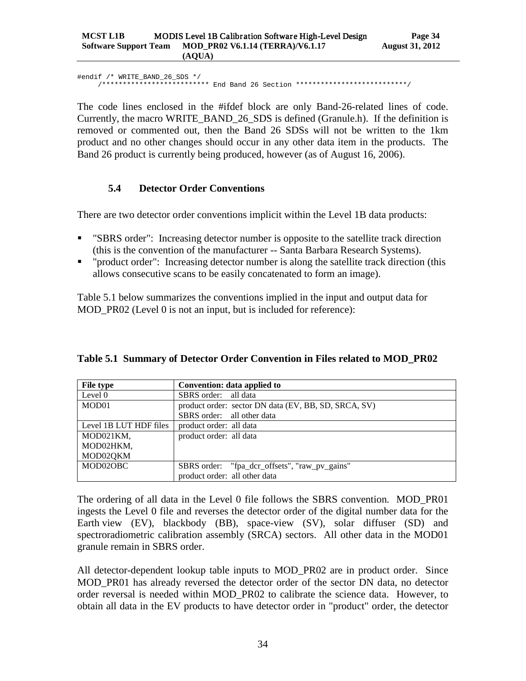#endif /\* WRITE\_BAND\_26\_SDS \*/ /\*\*\*\*\*\*\*\*\*\*\*\*\*\*\*\*\*\*\*\*\*\*\*\*\*\* End Band 26 Section \*\*\*\*\*\*\*\*\*\*\*\*\*\*\*\*\*\*\*\*\*\*\*\*\*\*\*/

The code lines enclosed in the #ifdef block are only Band-26-related lines of code. Currently, the macro WRITE\_BAND\_26\_SDS is defined (Granule.h). If the definition is removed or commented out, then the Band 26 SDSs will not be written to the 1km product and no other changes should occur in any other data item in the products. The Band 26 product is currently being produced, however (as of August 16, 2006).

#### <span id="page-37-0"></span>**5.4 Detector Order Conventions**

There are two detector order conventions implicit within the Level 1B data products:

- "SBRS order": Increasing detector number is opposite to the satellite track direction (this is the convention of the manufacturer -- Santa Barbara Research Systems).
- " "product order": Increasing detector number is along the satellite track direction (this allows consecutive scans to be easily concatenated to form an image).

Table 5.1 below summarizes the conventions implied in the input and output data for MOD\_PR02 (Level 0 is not an input, but is included for reference):

| File type              | Convention: data applied to                          |
|------------------------|------------------------------------------------------|
| Level 0                | SBRS order: all data                                 |
| MOD01                  | product order: sector DN data (EV, BB, SD, SRCA, SV) |
|                        | SBRS order: all other data                           |
| Level 1B LUT HDF files | product order: all data                              |
| MOD021KM,              | product order: all data                              |
| MOD02HKM,              |                                                      |
| MOD02QKM               |                                                      |
| MOD02OBC               | SBRS order: "fpa_dcr_offsets", "raw_pv_gains"        |
|                        | product order: all other data                        |

<span id="page-37-1"></span>

|  |  |  |  |  | Table 5.1 Summary of Detector Order Convention in Files related to MOD_PR02 |  |  |
|--|--|--|--|--|-----------------------------------------------------------------------------|--|--|
|--|--|--|--|--|-----------------------------------------------------------------------------|--|--|

The ordering of all data in the Level 0 file follows the SBRS convention. MOD\_PR01 ingests the Level 0 file and reverses the detector order of the digital number data for the Earth view (EV), blackbody (BB), space-view (SV), solar diffuser (SD) and spectroradiometric calibration assembly (SRCA) sectors. All other data in the MOD01 granule remain in SBRS order.

All detector-dependent lookup table inputs to MOD\_PR02 are in product order. Since MOD\_PR01 has already reversed the detector order of the sector DN data, no detector order reversal is needed within MOD\_PR02 to calibrate the science data. However, to obtain all data in the EV products to have detector order in "product" order, the detector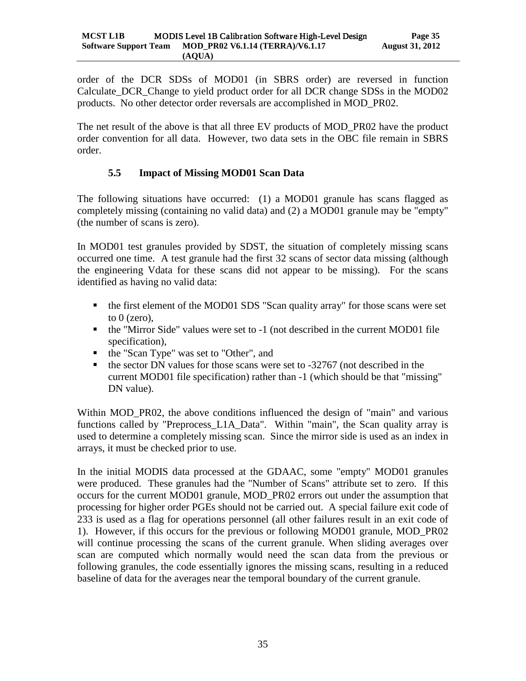order of the DCR SDSs of MOD01 (in SBRS order) are reversed in function Calculate\_DCR\_Change to yield product order for all DCR change SDSs in the MOD02 products. No other detector order reversals are accomplished in MOD\_PR02.

The net result of the above is that all three EV products of MOD\_PR02 have the product order convention for all data. However, two data sets in the OBC file remain in SBRS order.

# <span id="page-38-0"></span>**5.5 Impact of Missing MOD01 Scan Data**

The following situations have occurred: (1) a MOD01 granule has scans flagged as completely missing (containing no valid data) and (2) a MOD01 granule may be "empty" (the number of scans is zero).

In MOD01 test granules provided by SDST, the situation of completely missing scans occurred one time. A test granule had the first 32 scans of sector data missing (although the engineering Vdata for these scans did not appear to be missing). For the scans identified as having no valid data:

- the first element of the MOD01 SDS "Scan quality array" for those scans were set to  $0$  (zero).
- the "Mirror Side" values were set to -1 (not described in the current MOD01 file specification),
- the "Scan Type" was set to "Other", and
- $\bullet$  the sector DN values for those scans were set to -32767 (not described in the current MOD01 file specification) rather than -1 (which should be that "missing" DN value).

Within MOD PR02, the above conditions influenced the design of "main" and various functions called by "Preprocess\_L1A\_Data". Within "main", the Scan quality array is used to determine a completely missing scan. Since the mirror side is used as an index in arrays, it must be checked prior to use.

In the initial MODIS data processed at the GDAAC, some "empty" MOD01 granules were produced. These granules had the "Number of Scans" attribute set to zero. If this occurs for the current MOD01 granule, MOD\_PR02 errors out under the assumption that processing for higher order PGEs should not be carried out. A special failure exit code of 233 is used as a flag for operations personnel (all other failures result in an exit code of 1). However, if this occurs for the previous or following MOD01 granule, MOD\_PR02 will continue processing the scans of the current granule. When sliding averages over scan are computed which normally would need the scan data from the previous or following granules, the code essentially ignores the missing scans, resulting in a reduced baseline of data for the averages near the temporal boundary of the current granule.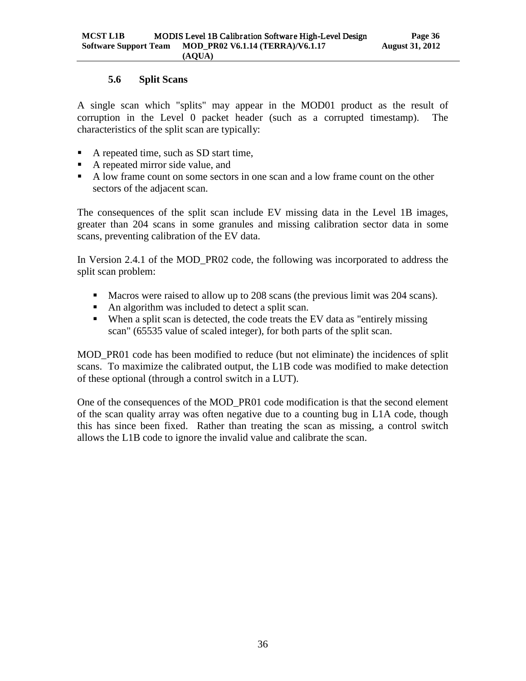# **5.6 Split Scans**

<span id="page-39-0"></span>A single scan which "splits" may appear in the MOD01 product as the result of corruption in the Level 0 packet header (such as a corrupted timestamp). The characteristics of the split scan are typically:

- A repeated time, such as SD start time,
- A repeated mirror side value, and
- A low frame count on some sectors in one scan and a low frame count on the other sectors of the adjacent scan.

The consequences of the split scan include EV missing data in the Level 1B images, greater than 204 scans in some granules and missing calibration sector data in some scans, preventing calibration of the EV data.

In Version 2.4.1 of the MOD\_PR02 code, the following was incorporated to address the split scan problem:

- Macros were raised to allow up to 208 scans (the previous limit was 204 scans).
- An algorithm was included to detect a split scan.
- When a split scan is detected, the code treats the EV data as "entirely missing scan" (65535 value of scaled integer), for both parts of the split scan.

MOD\_PR01 code has been modified to reduce (but not eliminate) the incidences of split scans. To maximize the calibrated output, the L1B code was modified to make detection of these optional (through a control switch in a LUT).

One of the consequences of the MOD\_PR01 code modification is that the second element of the scan quality array was often negative due to a counting bug in L1A code, though this has since been fixed. Rather than treating the scan as missing, a control switch allows the L1B code to ignore the invalid value and calibrate the scan.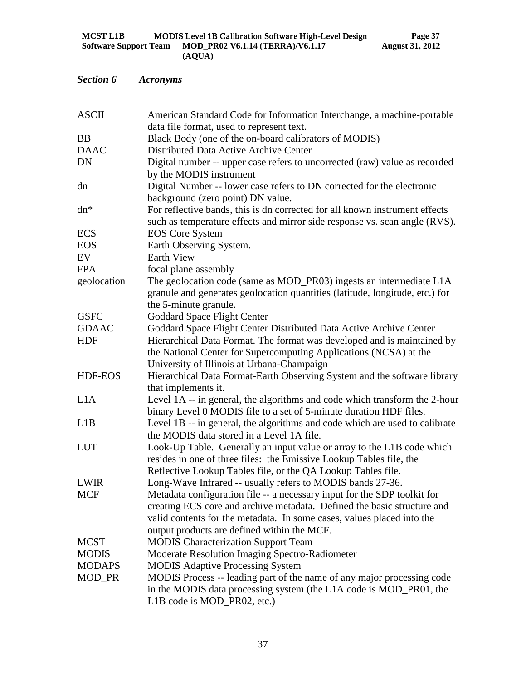# <span id="page-40-0"></span>*Section 6 Acronyms*

| <b>ASCII</b>  | American Standard Code for Information Interchange, a machine-portable                               |
|---------------|------------------------------------------------------------------------------------------------------|
|               | data file format, used to represent text.                                                            |
| <b>BB</b>     | Black Body (one of the on-board calibrators of MODIS)                                                |
| <b>DAAC</b>   | Distributed Data Active Archive Center                                                               |
| <b>DN</b>     | Digital number -- upper case refers to uncorrected (raw) value as recorded                           |
|               | by the MODIS instrument                                                                              |
| dn            | Digital Number -- lower case refers to DN corrected for the electronic                               |
|               | background (zero point) DN value.                                                                    |
| $dn*$         | For reflective bands, this is dn corrected for all known instrument effects                          |
| <b>ECS</b>    | such as temperature effects and mirror side response vs. scan angle (RVS).<br><b>EOS</b> Core System |
| <b>EOS</b>    | Earth Observing System.                                                                              |
| EV            | <b>Earth View</b>                                                                                    |
| <b>FPA</b>    | focal plane assembly                                                                                 |
| geolocation   | The geolocation code (same as MOD_PR03) ingests an intermediate L1A                                  |
|               | granule and generates geolocation quantities (latitude, longitude, etc.) for                         |
|               | the 5-minute granule.                                                                                |
| <b>GSFC</b>   | <b>Goddard Space Flight Center</b>                                                                   |
| <b>GDAAC</b>  | Goddard Space Flight Center Distributed Data Active Archive Center                                   |
| <b>HDF</b>    | Hierarchical Data Format. The format was developed and is maintained by                              |
|               | the National Center for Supercomputing Applications (NCSA) at the                                    |
|               | University of Illinois at Urbana-Champaign                                                           |
| HDF-EOS       | Hierarchical Data Format-Earth Observing System and the software library                             |
|               | that implements it.                                                                                  |
| L1A           | Level 1A -- in general, the algorithms and code which transform the 2-hour                           |
|               | binary Level 0 MODIS file to a set of 5-minute duration HDF files.                                   |
| L1B           | Level 1B -- in general, the algorithms and code which are used to calibrate                          |
|               | the MODIS data stored in a Level 1A file.                                                            |
| <b>LUT</b>    | Look-Up Table. Generally an input value or array to the L1B code which                               |
|               | resides in one of three files: the Emissive Lookup Tables file, the                                  |
|               | Reflective Lookup Tables file, or the QA Lookup Tables file.                                         |
| <b>LWIR</b>   | Long-Wave Infrared -- usually refers to MODIS bands 27-36.                                           |
| <b>MCF</b>    | Metadata configuration file -- a necessary input for the SDP toolkit for                             |
|               | creating ECS core and archive metadata. Defined the basic structure and                              |
|               | valid contents for the metadata. In some cases, values placed into the                               |
|               | output products are defined within the MCF.                                                          |
| <b>MCST</b>   | <b>MODIS Characterization Support Team</b>                                                           |
| <b>MODIS</b>  | Moderate Resolution Imaging Spectro-Radiometer                                                       |
| <b>MODAPS</b> | <b>MODIS Adaptive Processing System</b>                                                              |
| MOD_PR        | MODIS Process -- leading part of the name of any major processing code                               |
|               | in the MODIS data processing system (the L1A code is MOD_PR01, the                                   |
|               | L1B code is MOD_PR02, etc.)                                                                          |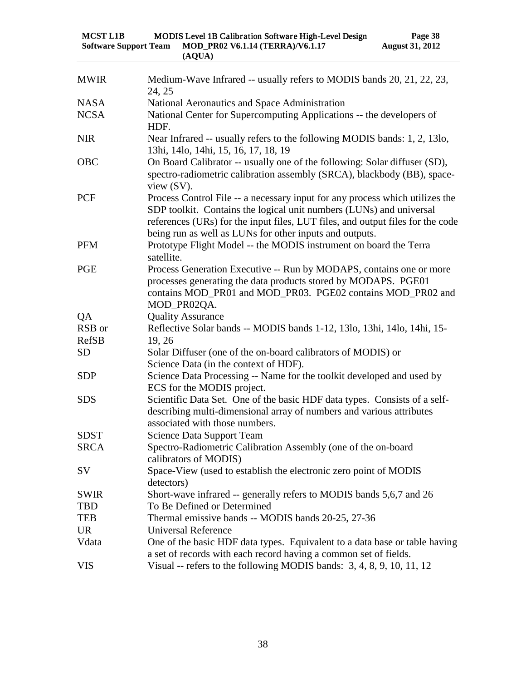| <b>MCST L1B</b>              | <b>MODIS Level 1B Calibration Software High-Level Design</b> | Page 38                |
|------------------------------|--------------------------------------------------------------|------------------------|
| <b>Software Support Team</b> | MOD PR02 V6.1.14 (TERRA)/V6.1.17                             | <b>August 31, 2012</b> |
|                              | (AOUA)                                                       |                        |

| <b>MWIR</b>  | Medium-Wave Infrared -- usually refers to MODIS bands 20, 21, 22, 23,<br>24, 25                                                                                                                                                                                                                  |
|--------------|--------------------------------------------------------------------------------------------------------------------------------------------------------------------------------------------------------------------------------------------------------------------------------------------------|
| <b>NASA</b>  | National Aeronautics and Space Administration                                                                                                                                                                                                                                                    |
| <b>NCSA</b>  | National Center for Supercomputing Applications -- the developers of<br>HDF.                                                                                                                                                                                                                     |
| <b>NIR</b>   | Near Infrared -- usually refers to the following MODIS bands: 1, 2, 13lo,<br>13hi, 14lo, 14hi, 15, 16, 17, 18, 19                                                                                                                                                                                |
| <b>OBC</b>   | On Board Calibrator -- usually one of the following: Solar diffuser (SD),<br>spectro-radiometric calibration assembly (SRCA), blackbody (BB), space-<br>view $(SV)$ .                                                                                                                            |
| <b>PCF</b>   | Process Control File -- a necessary input for any process which utilizes the<br>SDP toolkit. Contains the logical unit numbers (LUNs) and universal<br>references (URs) for the input files, LUT files, and output files for the code<br>being run as well as LUNs for other inputs and outputs. |
| <b>PFM</b>   | Prototype Flight Model -- the MODIS instrument on board the Terra<br>satellite.                                                                                                                                                                                                                  |
| <b>PGE</b>   | Process Generation Executive -- Run by MODAPS, contains one or more<br>processes generating the data products stored by MODAPS. PGE01<br>contains MOD_PR01 and MOD_PR03. PGE02 contains MOD_PR02 and<br>MOD_PR02QA.                                                                              |
| QA           | <b>Quality Assurance</b>                                                                                                                                                                                                                                                                         |
| RSB or       | Reflective Solar bands -- MODIS bands 1-12, 13lo, 13hi, 14lo, 14hi, 15-                                                                                                                                                                                                                          |
| <b>RefSB</b> | 19, 26                                                                                                                                                                                                                                                                                           |
| <b>SD</b>    | Solar Diffuser (one of the on-board calibrators of MODIS) or<br>Science Data (in the context of HDF).                                                                                                                                                                                            |
| <b>SDP</b>   | Science Data Processing -- Name for the toolkit developed and used by<br>ECS for the MODIS project.                                                                                                                                                                                              |
| <b>SDS</b>   | Scientific Data Set. One of the basic HDF data types. Consists of a self-<br>describing multi-dimensional array of numbers and various attributes<br>associated with those numbers.                                                                                                              |
| <b>SDST</b>  | <b>Science Data Support Team</b>                                                                                                                                                                                                                                                                 |
| <b>SRCA</b>  | Spectro-Radiometric Calibration Assembly (one of the on-board<br>calibrators of MODIS)                                                                                                                                                                                                           |
| <b>SV</b>    | Space-View (used to establish the electronic zero point of MODIS<br>detectors)                                                                                                                                                                                                                   |
| <b>SWIR</b>  | Short-wave infrared -- generally refers to MODIS bands 5,6,7 and 26                                                                                                                                                                                                                              |
| <b>TBD</b>   | To Be Defined or Determined                                                                                                                                                                                                                                                                      |
| <b>TEB</b>   | Thermal emissive bands -- MODIS bands 20-25, 27-36                                                                                                                                                                                                                                               |
| <b>UR</b>    | <b>Universal Reference</b>                                                                                                                                                                                                                                                                       |
| Vdata        | One of the basic HDF data types. Equivalent to a data base or table having<br>a set of records with each record having a common set of fields.                                                                                                                                                   |
| <b>VIS</b>   | Visual -- refers to the following MODIS bands: $3, 4, 8, 9, 10, 11, 12$                                                                                                                                                                                                                          |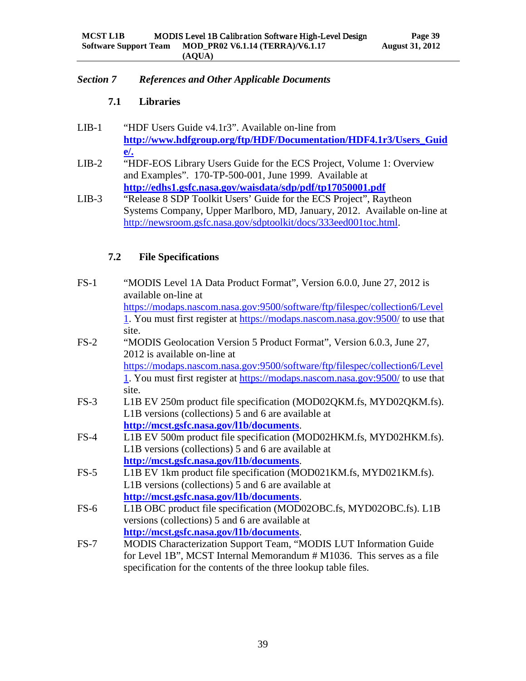#### <span id="page-42-1"></span><span id="page-42-0"></span>*Section 7 References and Other Applicable Documents*

# **7.1 Libraries**

- LIB-1 "HDF Users Guide v4.1r3". Available on-line from **[http://www.hdfgroup.org/ftp/HDF/Documentation/HDF4.1r3/Users\\_Guid](http://www.hdfgroup.org/ftp/HDF/Documentation/HDF4.1r3/Users_Guide/) [e/.](http://www.hdfgroup.org/ftp/HDF/Documentation/HDF4.1r3/Users_Guide/)**
- LIB-2 "HDF-EOS Library Users Guide for the ECS Project, Volume 1: Overview and Examples". 170-TP-500-001, June 1999. Available at **<http://edhs1.gsfc.nasa.gov/waisdata/sdp/pdf/tp17050001.pdf>**
- LIB-3 "Release 8 SDP Toolkit Users' Guide for the ECS Project", Raytheon Systems Company, Upper Marlboro, MD, January, 2012. Available on-line at [http://newsroom.gsfc.nasa.gov/sdptoolkit/docs/333eed001toc.html.](http://newsroom.gsfc.nasa.gov/sdptoolkit/docs/333eed001toc.html)

# <span id="page-42-2"></span>**7.2 File Specifications**

| $FS-1$ | "MODIS Level 1A Data Product Format", Version 6.0.0, June 27, 2012 is          |
|--------|--------------------------------------------------------------------------------|
|        | available on-line at                                                           |
|        | https://modaps.nascom.nasa.gov:9500/software/ftp/filespec/collection6/Level    |
|        | 1. You must first register at https://modaps.nascom.nasa.gov:9500/ to use that |
|        | site.                                                                          |
| $FS-2$ | "MODIS Geolocation Version 5 Product Format", Version 6.0.3, June 27,          |
|        | 2012 is available on-line at                                                   |
|        | https://modaps.nascom.nasa.gov:9500/software/ftp/filespec/collection6/Level    |
|        | 1. You must first register at https://modaps.nascom.nasa.gov:9500/ to use that |
|        | site.                                                                          |
| $FS-3$ | L1B EV 250m product file specification (MOD02QKM.fs, MYD02QKM.fs).             |
|        | L1B versions (collections) 5 and 6 are available at                            |
|        | http://mcst.gsfc.nasa.gov/l1b/documents.                                       |
| $FS-4$ | L1B EV 500m product file specification (MOD02HKM.fs, MYD02HKM.fs).             |
|        | L1B versions (collections) 5 and 6 are available at                            |
|        | http://mcst.gsfc.nasa.gov/l1b/documents.                                       |
| $FS-5$ | L1B EV 1km product file specification (MOD021KM.fs, MYD021KM.fs).              |
|        | L1B versions (collections) 5 and 6 are available at                            |
|        | http://mcst.gsfc.nasa.gov/l1b/documents.                                       |
| $FS-6$ | L1B OBC product file specification (MOD02OBC.fs, MYD02OBC.fs). L1B             |
|        | versions (collections) 5 and 6 are available at                                |
|        | http://mcst.gsfc.nasa.gov/l1b/documents.                                       |
| $FS-7$ | MODIS Characterization Support Team, "MODIS LUT Information Guide              |
|        | for Level 1B", MCST Internal Memorandum # M1036. This serves as a file         |
|        | specification for the contents of the three lookup table files.                |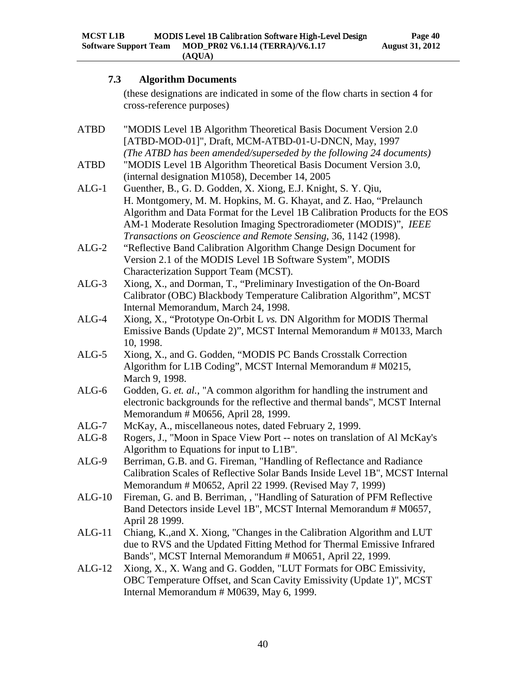#### <span id="page-43-0"></span>**7.3 Algorithm Documents**

(these designations are indicated in some of the flow charts in section 4 for cross-reference purposes)

- ATBD "MODIS Level 1B Algorithm Theoretical Basis Document Version 2.0 [ATBD-MOD-01]", Draft, MCM-ATBD-01-U-DNCN, May, 1997 *(The ATBD has been amended/superseded by the following 24 documents)* ATBD "MODIS Level 1B Algorithm Theoretical Basis Document Version 3.0, (internal designation M1058), December 14, 2005 ALG-1 Guenther, B., G. D. Godden, X. Xiong, E.J. Knight, S. Y. Qiu, H. Montgomery, M. M. Hopkins, M. G. Khayat, and Z. Hao, "Prelaunch Algorithm and Data Format for the Level 1B Calibration Products for the EOS AM-1 Moderate Resolution Imaging Spectroradiometer (MODIS)", *IEEE Transactions on Geoscience and Remote Sensing*, 36, 1142 (1998). ALG-2 "Reflective Band Calibration Algorithm Change Design Document for Version 2.1 of the MODIS Level 1B Software System", MODIS Characterization Support Team (MCST). ALG-3 Xiong, X., and Dorman, T., "Preliminary Investigation of the On-Board Calibrator (OBC) Blackbody Temperature Calibration Algorithm", MCST Internal Memorandum, March 24, 1998. ALG-4 Xiong, X., "Prototype On-Orbit L *vs.* DN Algorithm for MODIS Thermal Emissive Bands (Update 2)", MCST Internal Memorandum # M0133, March 10, 1998. ALG-5 Xiong, X., and G. Godden, "MODIS PC Bands Crosstalk Correction Algorithm for L1B Coding", MCST Internal Memorandum # M0215, March 9, 1998. ALG-6 Godden, G. *et. al.*, "A common algorithm for handling the instrument and electronic backgrounds for the reflective and thermal bands", MCST Internal Memorandum # M0656, April 28, 1999. ALG-7 McKay, A., miscellaneous notes, dated February 2, 1999. ALG-8 Rogers, J., "Moon in Space View Port -- notes on translation of Al McKay's Algorithm to Equations for input to L1B". ALG-9 Berriman, G.B. and G. Fireman, "Handling of Reflectance and Radiance Calibration Scales of Reflective Solar Bands Inside Level 1B", MCST Internal Memorandum # M0652, April 22 1999. (Revised May 7, 1999) ALG-10 Fireman, G. and B. Berriman, , "Handling of Saturation of PFM Reflective Band Detectors inside Level 1B", MCST Internal Memorandum # M0657, April 28 1999. ALG-11 Chiang, K.,and X. Xiong, "Changes in the Calibration Algorithm and LUT due to RVS and the Updated Fitting Method for Thermal Emissive Infrared Bands", MCST Internal Memorandum # M0651, April 22, 1999.
- ALG-12 Xiong, X., X. Wang and G. Godden, "LUT Formats for OBC Emissivity, OBC Temperature Offset, and Scan Cavity Emissivity (Update 1)", MCST Internal Memorandum # M0639, May 6, 1999.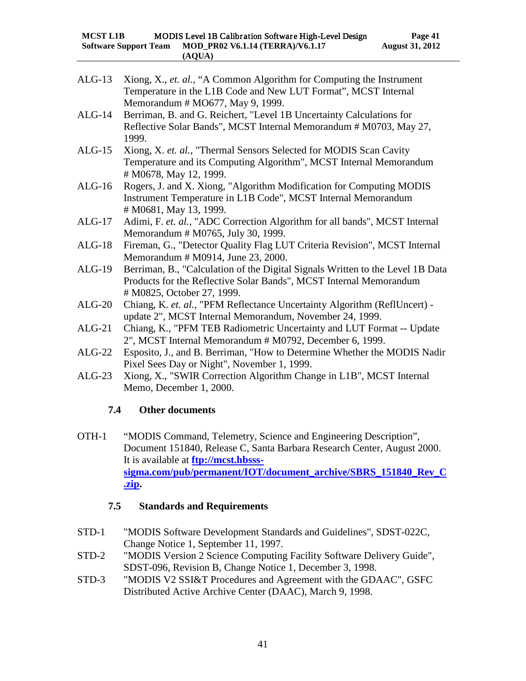- ALG-13 Xiong, X., *et. al.*, "A Common Algorithm for Computing the Instrument Temperature in the L1B Code and New LUT Format", MCST Internal Memorandum # MO677, May 9, 1999.
- ALG-14 Berriman, B. and G. Reichert, "Level 1B Uncertainty Calculations for Reflective Solar Bands", MCST Internal Memorandum # M0703, May 27, 1999.
- ALG-15 Xiong, X. *et. al.*, "Thermal Sensors Selected for MODIS Scan Cavity Temperature and its Computing Algorithm", MCST Internal Memorandum # M0678, May 12, 1999.
- ALG-16 Rogers, J. and X. Xiong, "Algorithm Modification for Computing MODIS Instrument Temperature in L1B Code", MCST Internal Memorandum # M0681, May 13, 1999.
- ALG-17 Adimi, F. *et. al.*, "ADC Correction Algorithm for all bands", MCST Internal Memorandum # M0765, July 30, 1999.
- ALG-18 Fireman, G., "Detector Quality Flag LUT Criteria Revision", MCST Internal Memorandum # M0914, June 23, 2000.
- ALG-19 Berriman, B., "Calculation of the Digital Signals Written to the Level 1B Data Products for the Reflective Solar Bands", MCST Internal Memorandum # M0825, October 27, 1999.
- ALG-20 Chiang, K. *et. al.*, "PFM Reflectance Uncertainty Algorithm (ReflUncert) update 2", MCST Internal Memorandum, November 24, 1999.
- ALG-21 Chiang, K., "PFM TEB Radiometric Uncertainty and LUT Format -- Update 2", MCST Internal Memorandum # M0792, December 6, 1999.
- ALG-22 Esposito, J., and B. Berriman, "How to Determine Whether the MODIS Nadir Pixel Sees Day or Night", November 1, 1999.
- <span id="page-44-0"></span>ALG-23 Xiong, X., "SWIR Correction Algorithm Change in L1B", MCST Internal Memo, December 1, 2000.

# **7.4 Other documents**

OTH-1 "MODIS Command, Telemetry, Science and Engineering Description", Document 151840, Release C, Santa Barbara Research Center, August 2000. It is available at **[ftp://mcst.hbsss](ftp://mcst.hbsss-sigma.com/pub/permanent/IOT/document_archive/SBRS_151840_Rev_C.zip)[sigma.com/pub/permanent/IOT/document\\_archive/SBRS\\_151840\\_Rev\\_C](ftp://mcst.hbsss-sigma.com/pub/permanent/IOT/document_archive/SBRS_151840_Rev_C.zip) [.zip.](ftp://mcst.hbsss-sigma.com/pub/permanent/IOT/document_archive/SBRS_151840_Rev_C.zip)**

# <span id="page-44-1"></span>**7.5 Standards and Requirements**

- STD-1 "MODIS Software Development Standards and Guidelines", SDST-022C, Change Notice 1, September 11, 1997.
- STD-2 "MODIS Version 2 Science Computing Facility Software Delivery Guide", SDST-096, Revision B, Change Notice 1, December 3, 1998.
- STD-3 "MODIS V2 SSI&T Procedures and Agreement with the GDAAC", GSFC Distributed Active Archive Center (DAAC), March 9, 1998.